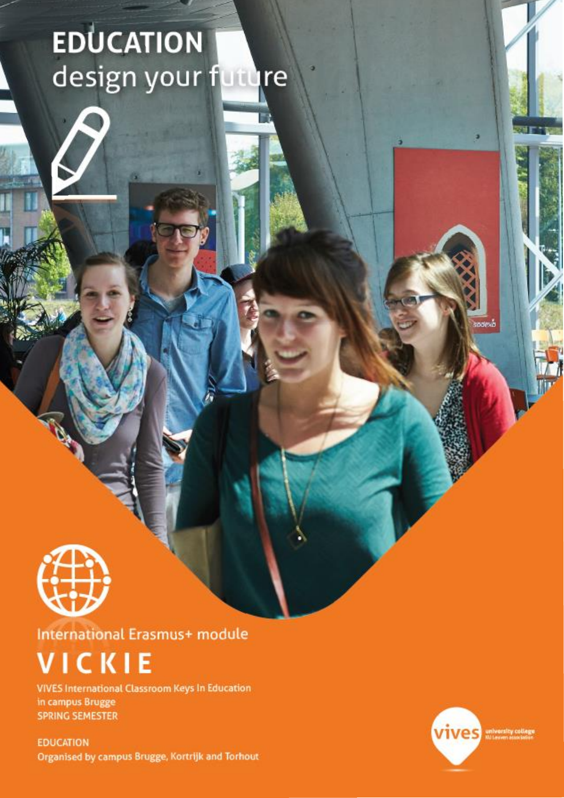# **EDUCATION** design your future



**International Erasmus+ module** 

# ICKIE

**VIVES International Classroom Keys In Education** in campus Brugge **SPRING SEMESTER** 

**EDUCATION** Organised by campus Brugge, Kortrijk and Torhout



uexb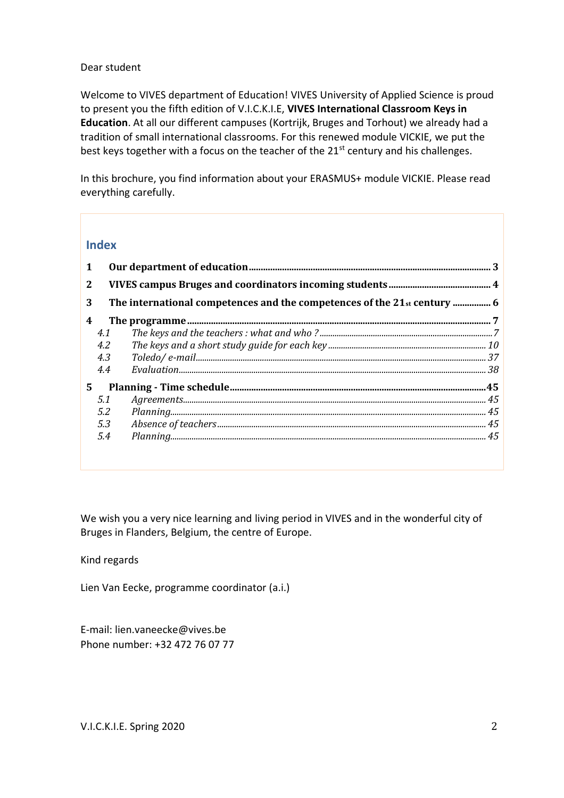#### Dear student

Welcome to VIVES department of Education! VIVES University of Applied Science is proud to present you the fifth edition of V.I.C.K.I.E, **VIVES International Classroom Keys in Education**. At all our different campuses (Kortrijk, Bruges and Torhout) we already had a tradition of small international classrooms. For this renewed module VICKIE, we put the best keys together with a focus on the teacher of the 21<sup>st</sup> century and his challenges.

In this brochure, you find information about your ERASMUS+ module VICKIE. Please read everything carefully.

### **Index**

| 1                |     |                                                                                                                                                                                                                                                                                                                                                                                                                                                                                                                                                       |  |  |  |
|------------------|-----|-------------------------------------------------------------------------------------------------------------------------------------------------------------------------------------------------------------------------------------------------------------------------------------------------------------------------------------------------------------------------------------------------------------------------------------------------------------------------------------------------------------------------------------------------------|--|--|--|
| 2                |     |                                                                                                                                                                                                                                                                                                                                                                                                                                                                                                                                                       |  |  |  |
| 3                |     |                                                                                                                                                                                                                                                                                                                                                                                                                                                                                                                                                       |  |  |  |
| $\boldsymbol{4}$ |     |                                                                                                                                                                                                                                                                                                                                                                                                                                                                                                                                                       |  |  |  |
|                  | 4.1 |                                                                                                                                                                                                                                                                                                                                                                                                                                                                                                                                                       |  |  |  |
|                  | 4.2 |                                                                                                                                                                                                                                                                                                                                                                                                                                                                                                                                                       |  |  |  |
|                  | 4.3 |                                                                                                                                                                                                                                                                                                                                                                                                                                                                                                                                                       |  |  |  |
|                  | 4.4 |                                                                                                                                                                                                                                                                                                                                                                                                                                                                                                                                                       |  |  |  |
| 5.               |     |                                                                                                                                                                                                                                                                                                                                                                                                                                                                                                                                                       |  |  |  |
|                  | 5.1 |                                                                                                                                                                                                                                                                                                                                                                                                                                                                                                                                                       |  |  |  |
|                  | 5.2 |                                                                                                                                                                                                                                                                                                                                                                                                                                                                                                                                                       |  |  |  |
|                  | 5.3 |                                                                                                                                                                                                                                                                                                                                                                                                                                                                                                                                                       |  |  |  |
|                  | 5.4 | $Planning  \begin{minipage}{0.99\linewidth} \textit{Planning} \end{minipage} \begin{minipage}{0.99\linewidth} \textit{Comparing} \end{minipage} \begin{minipage}{0.99\linewidth} \textit{Comparing} \end{minipage} \begin{minipage}{0.99\linewidth} \textit{Comparing} \end{minipage} \begin{minipage}{0.99\linewidth} \textit{Comparing} \end{minipage} \begin{minipage}{0.99\linewidth} \textit{Comparing} \end{minipage} \begin{minipage}{0.99\linewidth} \textit{Comparing} \end{minipage} \begin{minipage}{0.99\linewidth} \textit{Comparing} \$ |  |  |  |

We wish you a very nice learning and living period in VIVES and in the wonderful city of Bruges in Flanders, Belgium, the centre of Europe.

Kind regards

Lien Van Eecke, programme coordinator (a.i.)

E-mail: lien.vaneecke@vives.be Phone number: +32 472 76 07 77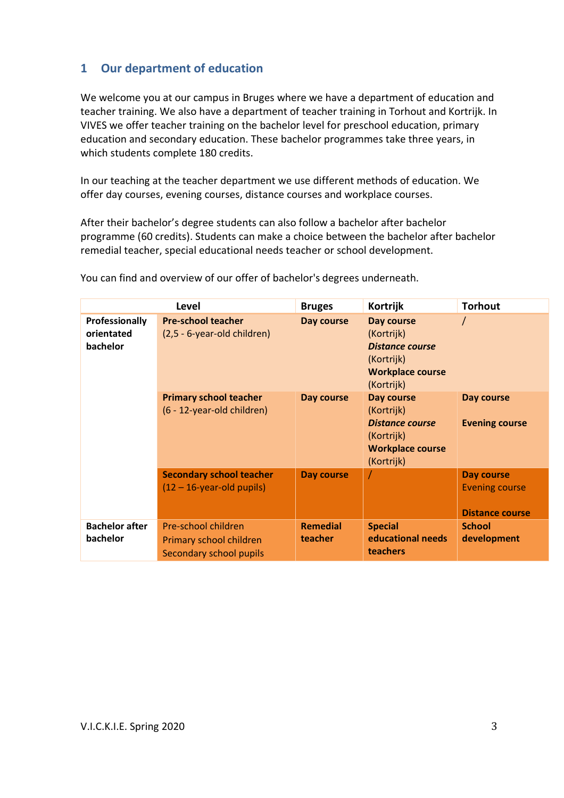# <span id="page-2-0"></span>**1 Our department of education**

We welcome you at our campus in Bruges where we have a department of education and teacher training. We also have a department of teacher training in Torhout and Kortrijk. In VIVES we offer teacher training on the bachelor level for preschool education, primary education and secondary education. These bachelor programmes take three years, in which students complete 180 credits.

In our teaching at the teacher department we use different methods of education. We offer day courses, evening courses, distance courses and workplace courses.

After their bachelor's degree students can also follow a bachelor after bachelor programme (60 credits). Students can make a choice between the bachelor after bachelor remedial teacher, special educational needs teacher or school development.

| <b>Level</b>                             |                                                                           | <b>Bruges</b>              | Kortrijk                                                                                                  | <b>Torhout</b>                                                |
|------------------------------------------|---------------------------------------------------------------------------|----------------------------|-----------------------------------------------------------------------------------------------------------|---------------------------------------------------------------|
| Professionally<br>orientated<br>bachelor | <b>Pre-school teacher</b><br>(2,5 - 6-year-old children)                  | Day course                 | Day course<br>(Kortrijk)<br><b>Distance course</b><br>(Kortrijk)<br><b>Workplace course</b><br>(Kortrijk) |                                                               |
|                                          | <b>Primary school teacher</b><br>(6 - 12-year-old children)               | Day course                 | Day course<br>(Kortrijk)<br><b>Distance course</b><br>(Kortrijk)<br><b>Workplace course</b><br>(Kortrijk) | Day course<br><b>Evening course</b>                           |
|                                          | <b>Secondary school teacher</b><br>$(12 – 16-year-old pupils)$            | <b>Day course</b>          |                                                                                                           | Day course<br><b>Evening course</b><br><b>Distance course</b> |
| <b>Bachelor after</b><br>bachelor        | Pre-school children<br>Primary school children<br>Secondary school pupils | <b>Remedial</b><br>teacher | <b>Special</b><br>educational needs<br>teachers                                                           | <b>School</b><br>development                                  |

You can find and overview of our offer of bachelor's degrees underneath.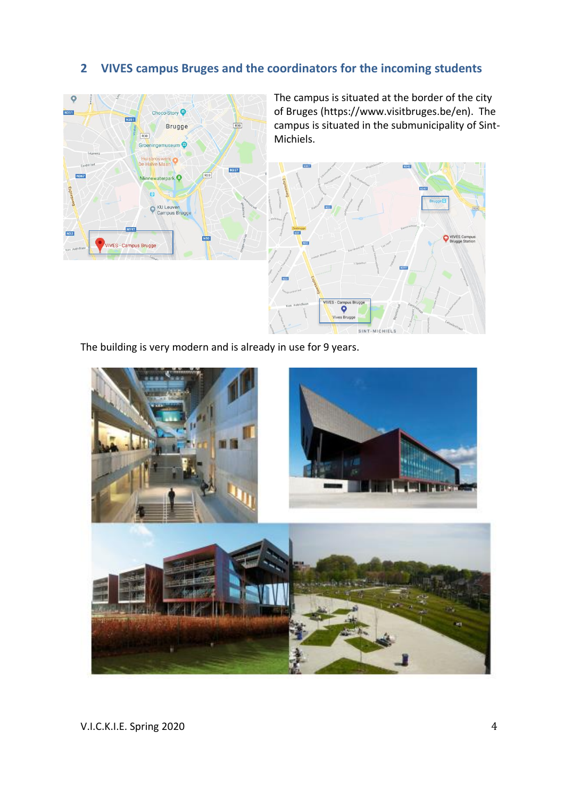# <span id="page-3-0"></span>**2 VIVES campus Bruges and the coordinators for the incoming students**



The campus is situated at the border of the city of Bruges (https://www.visitbruges.be/en). The campus is situated in the submunicipality of Sint-Michiels.



The building is very modern and is already in use for 9 years.

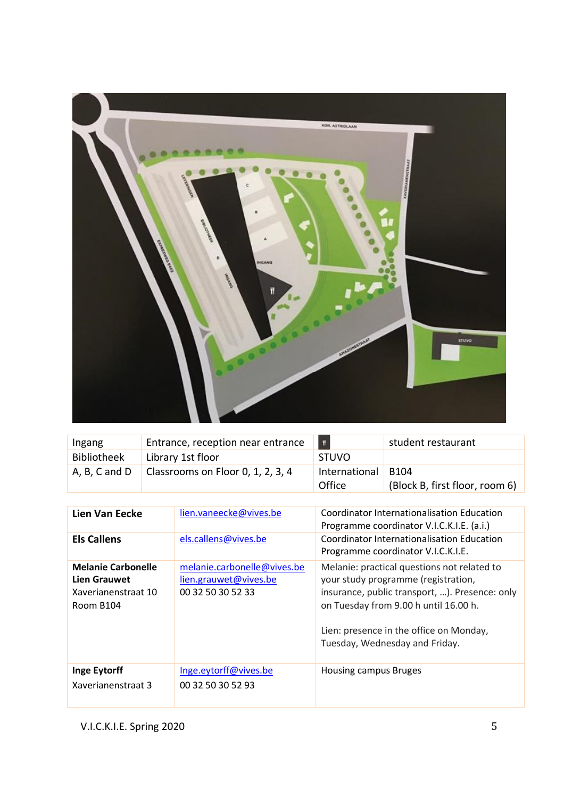

| Ingang             | Entrance, reception near entrance | $\mathbf{H}$            | student restaurant                                 |
|--------------------|-----------------------------------|-------------------------|----------------------------------------------------|
| <b>Bibliotheek</b> | Library 1st floor                 | <b>STUVO</b>            |                                                    |
| A, B, C and D      | Classrooms on Floor 0, 1, 2, 3, 4 | International<br>Office | B <sub>104</sub><br>(Block B, first floor, room 6) |

| Lien Van Eecke                                                                       | lien.vaneecke@vives.be                                                    | Coordinator Internationalisation Education<br>Programme coordinator V.I.C.K.I.E. (a.i.)                                                                                                                                                                    |
|--------------------------------------------------------------------------------------|---------------------------------------------------------------------------|------------------------------------------------------------------------------------------------------------------------------------------------------------------------------------------------------------------------------------------------------------|
| <b>Els Callens</b>                                                                   | els.callens@vives.be                                                      | Coordinator Internationalisation Education<br>Programme coordinator V.I.C.K.I.E.                                                                                                                                                                           |
| <b>Melanie Carbonelle</b><br><b>Lien Grauwet</b><br>Xaverianenstraat 10<br>Room B104 | melanie.carbonelle@vives.be<br>lien.grauwet@vives.be<br>00 32 50 30 52 33 | Melanie: practical questions not related to<br>your study programme (registration,<br>insurance, public transport, ). Presence: only<br>on Tuesday from 9.00 h until 16.00 h.<br>Lien: presence in the office on Monday,<br>Tuesday, Wednesday and Friday. |
| <b>Inge Eytorff</b><br>Xaverianenstraat 3                                            | Inge.eytorff@vives.be<br>00 32 50 30 52 93                                | Housing campus Bruges                                                                                                                                                                                                                                      |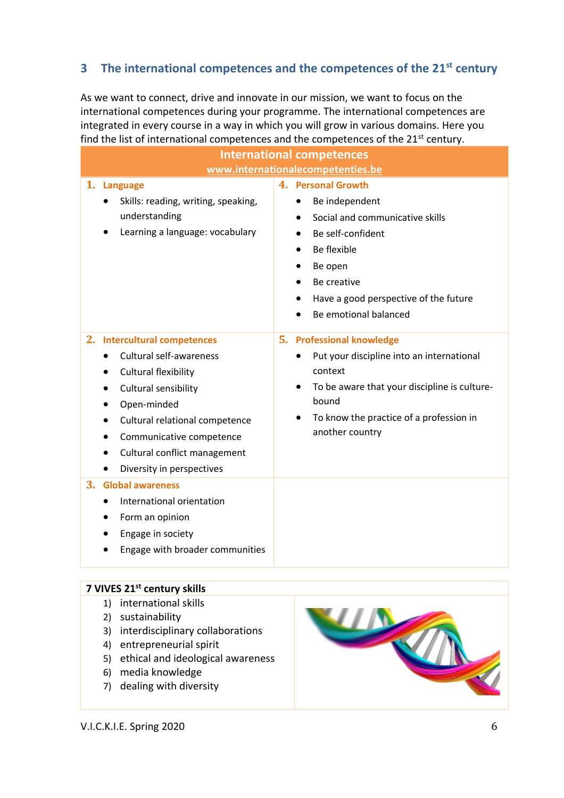# <span id="page-5-0"></span>**3 The international competences and the competences of the 21st century**

As we want to connect, drive and innovate in our mission, we want to focus on the international competences during your programme. The international competences are integrated in every course in a way in which you will grow in various domains. Here you find the list of international competences and the competences of the 21<sup>st</sup> century.

|    | <b>International competences</b>                            |  |                                                           |  |  |
|----|-------------------------------------------------------------|--|-----------------------------------------------------------|--|--|
|    | www.internationalecompetenties.be                           |  |                                                           |  |  |
|    | 1. Language                                                 |  | 4. Personal Growth                                        |  |  |
|    | Skills: reading, writing, speaking,                         |  | Be independent<br>$\bullet$                               |  |  |
|    | understanding                                               |  | Social and communicative skills<br>$\bullet$              |  |  |
|    | Learning a language: vocabulary                             |  | Be self-confident                                         |  |  |
|    |                                                             |  | Be flexible<br>$\bullet$                                  |  |  |
|    |                                                             |  | Be open                                                   |  |  |
|    |                                                             |  | Be creative                                               |  |  |
|    |                                                             |  | Have a good perspective of the future<br>٠                |  |  |
|    |                                                             |  | Be emotional balanced                                     |  |  |
| 2. |                                                             |  |                                                           |  |  |
|    | <b>Intercultural competences</b><br>Cultural self-awareness |  | 5. Professional knowledge                                 |  |  |
|    | $\bullet$                                                   |  | Put your discipline into an international<br>context      |  |  |
|    | Cultural flexibility                                        |  | To be aware that your discipline is culture-<br>$\bullet$ |  |  |
|    | Cultural sensibility                                        |  | bound                                                     |  |  |
|    | Open-minded                                                 |  | To know the practice of a profession in<br>٠              |  |  |
|    | Cultural relational competence<br>٠                         |  | another country                                           |  |  |
|    | Communicative competence                                    |  |                                                           |  |  |
|    | Cultural conflict management                                |  |                                                           |  |  |
|    | Diversity in perspectives<br>$\bullet$                      |  |                                                           |  |  |
| 3. | <b>Global awareness</b>                                     |  |                                                           |  |  |
|    | International orientation<br>$\bullet$                      |  |                                                           |  |  |
|    | Form an opinion                                             |  |                                                           |  |  |
|    | Engage in society                                           |  |                                                           |  |  |
|    | Engage with broader communities                             |  |                                                           |  |  |
|    |                                                             |  |                                                           |  |  |

#### **7 VIVES 21st century skills**

- 1) international skills
- 2) sustainability
- 3) interdisciplinary collaborations
- 4) entrepreneurial spirit
- 5) ethical and ideological awareness
- 6) media knowledge
- 7) dealing with diversity

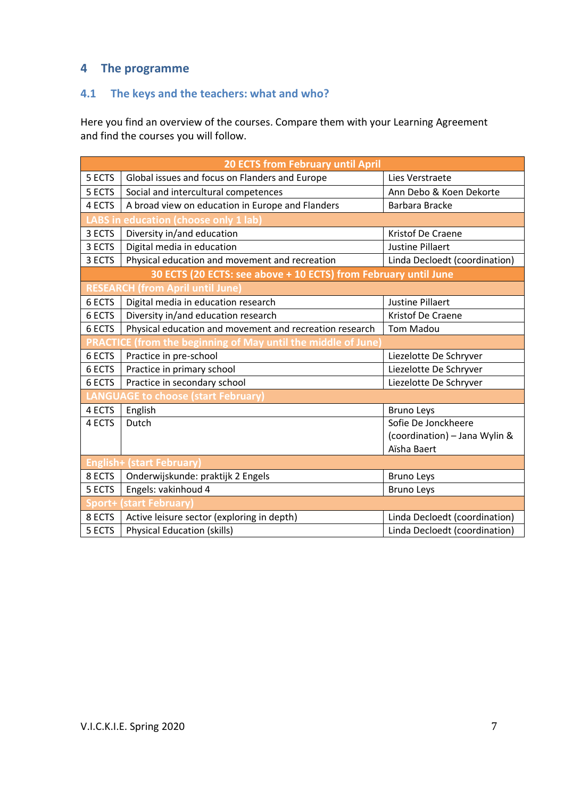# <span id="page-6-0"></span>**4 The programme**

# <span id="page-6-1"></span>**4.1 The keys and the teachers: what and who?**

Here you find an overview of the courses. Compare them with your Learning Agreement and find the courses you will follow.

| <b>20 ECTS from February until April</b> |                                                                 |                               |  |  |  |
|------------------------------------------|-----------------------------------------------------------------|-------------------------------|--|--|--|
| 5 ECTS                                   | Global issues and focus on Flanders and Europe                  | Lies Verstraete               |  |  |  |
| 5 ECTS                                   | Social and intercultural competences                            | Ann Debo & Koen Dekorte       |  |  |  |
| 4 ECTS                                   | A broad view on education in Europe and Flanders                | Barbara Bracke                |  |  |  |
|                                          | LABS in education (choose only 1 lab)                           |                               |  |  |  |
| 3 ECTS                                   | Diversity in/and education                                      | Kristof De Craene             |  |  |  |
| 3 ECTS                                   | Digital media in education                                      | <b>Justine Pillaert</b>       |  |  |  |
| 3 ECTS                                   | Physical education and movement and recreation                  | Linda Decloedt (coordination) |  |  |  |
|                                          | 30 ECTS (20 ECTS: see above + 10 ECTS) from February until June |                               |  |  |  |
|                                          | <b>RESEARCH (from April until June)</b>                         |                               |  |  |  |
| 6 ECTS                                   | Digital media in education research                             | <b>Justine Pillaert</b>       |  |  |  |
| 6 ECTS                                   | Diversity in/and education research                             | Kristof De Craene             |  |  |  |
| 6 ECTS                                   | Physical education and movement and recreation research         | <b>Tom Madou</b>              |  |  |  |
|                                          | CE (from the beginning of May until the middle of June)         |                               |  |  |  |
| 6 ECTS                                   | Practice in pre-school                                          | Liezelotte De Schryver        |  |  |  |
| 6 ECTS                                   | Practice in primary school                                      | Liezelotte De Schryver        |  |  |  |
| 6 ECTS                                   | Practice in secondary school                                    | Liezelotte De Schryver        |  |  |  |
|                                          | LANGUAGE to choose (start February)                             |                               |  |  |  |
| 4 ECTS                                   | English                                                         | <b>Bruno Leys</b>             |  |  |  |
| 4 ECTS                                   | Dutch                                                           | Sofie De Jonckheere           |  |  |  |
|                                          |                                                                 | (coordination) - Jana Wylin & |  |  |  |
|                                          |                                                                 | Aïsha Baert                   |  |  |  |
| <b>English+ (start February)</b>         |                                                                 |                               |  |  |  |
| 8 ECTS                                   | Onderwijskunde: praktijk 2 Engels                               | <b>Bruno Leys</b>             |  |  |  |
| 5 ECTS                                   | Engels: vakinhoud 4                                             | <b>Bruno Leys</b>             |  |  |  |
| iport+ l                                 | (start February                                                 |                               |  |  |  |
| 8 ECTS                                   | Active leisure sector (exploring in depth)                      | Linda Decloedt (coordination) |  |  |  |
| 5 ECTS                                   | <b>Physical Education (skills)</b>                              | Linda Decloedt (coordination) |  |  |  |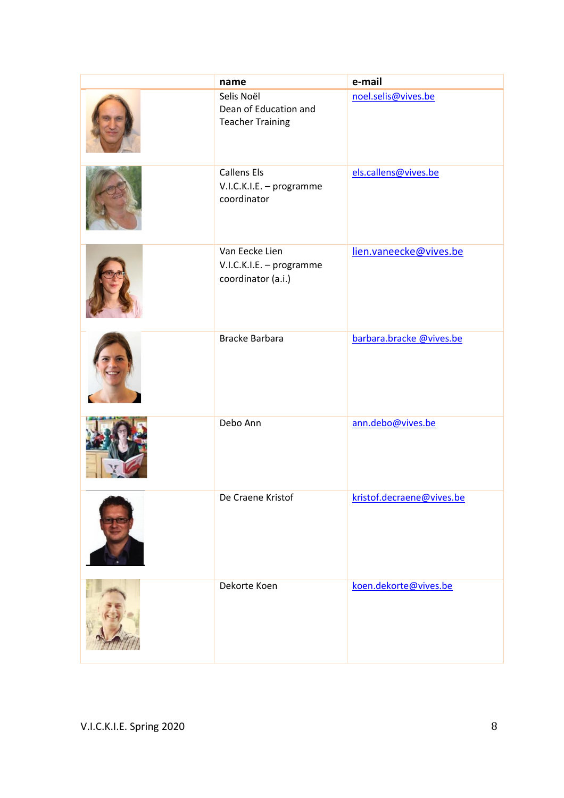| name                                                             | e-mail                    |
|------------------------------------------------------------------|---------------------------|
| Selis Noël<br>Dean of Education and<br><b>Teacher Training</b>   | noel.selis@vives.be       |
| <b>Callens Els</b><br>V.I.C.K.I.E. - programme<br>coordinator    | els.callens@vives.be      |
| Van Eecke Lien<br>V.I.C.K.I.E. - programme<br>coordinator (a.i.) | lien.vaneecke@vives.be    |
| <b>Bracke Barbara</b>                                            | barbara.bracke @vives.be  |
| Debo Ann                                                         | ann.debo@vives.be         |
| De Craene Kristof                                                | kristof.decraene@vives.be |
| Dekorte Koen                                                     | koen.dekorte@vives.be     |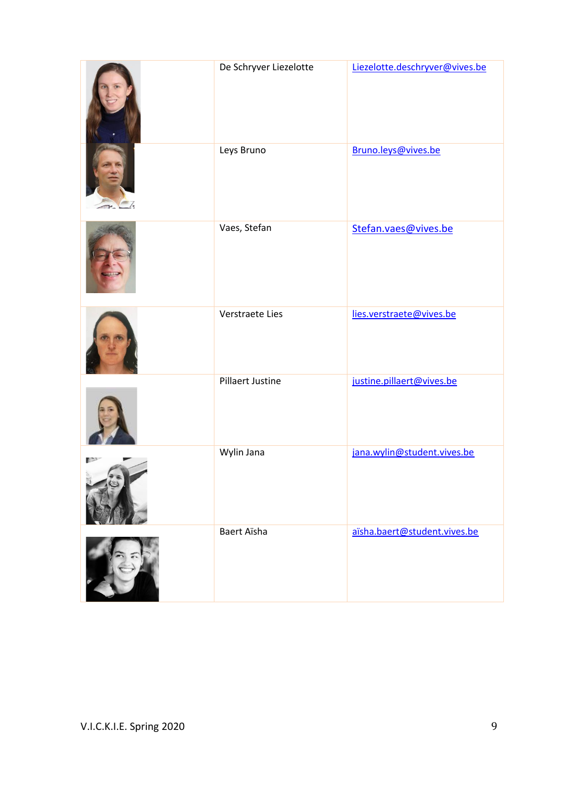| De Schryver Liezelotte | Liezelotte.deschryver@vives.be |
|------------------------|--------------------------------|
| Leys Bruno             | Bruno.leys@vives.be            |
| Vaes, Stefan           | Stefan.vaes@vives.be           |
| Verstraete Lies        | lies.verstraete@vives.be       |
| Pillaert Justine       | justine.pillaert@vives.be      |
| Wylin Jana             | jana.wylin@student.vives.be    |
| Baert Aïsha            | aïsha.baert@student.vives.be   |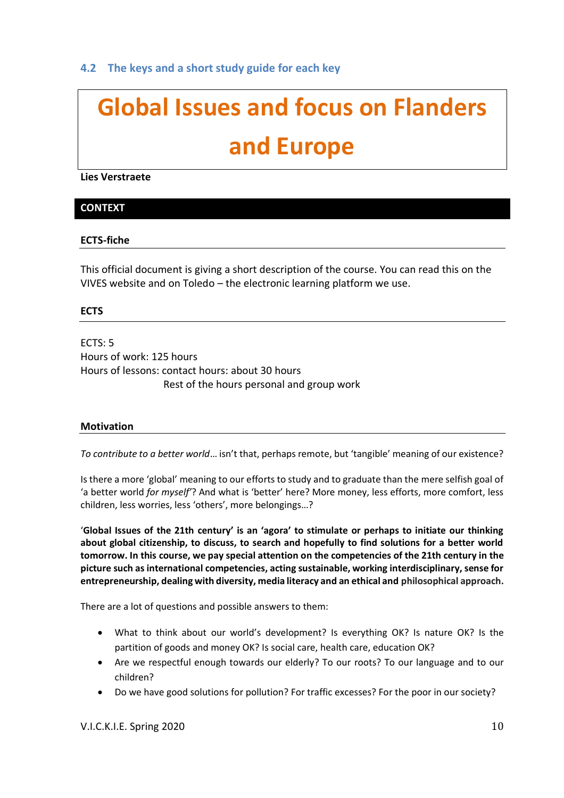# <span id="page-9-0"></span>**4.2 The keys and a short study guide for each key**

# **Global Issues and focus on Flanders and Europe**

**Lies Verstraete**

### **CONTEXT**

#### **ECTS-fiche**

This official document is giving a short description of the course. You can read this on the VIVES website and on Toledo – the electronic learning platform we use.

#### **ECTS**

ECTS: 5 Hours of work: 125 hours Hours of lessons: contact hours: about 30 hours Rest of the hours personal and group work

#### **Motivation**

*To contribute to a better world*… isn't that, perhaps remote, but 'tangible' meaning of our existence?

Is there a more 'global' meaning to our efforts to study and to graduate than the mere selfish goal of 'a better world *for myself'*? And what is 'better' here? More money, less efforts, more comfort, less children, less worries, less 'others', more belongings…?

'**Global Issues of the 21th century' is an 'agora' to stimulate or perhaps to initiate our thinking about global citizenship, to discuss, to search and hopefully to find solutions for a better world tomorrow. In this course, we pay special attention on the competencies of the 21th century in the picture such as international competencies, acting sustainable, working interdisciplinary, sense for entrepreneurship, dealing with diversity, media literacy and an ethical and philosophical approach.**

There are a lot of questions and possible answers to them:

- What to think about our world's development? Is everything OK? Is nature OK? Is the partition of goods and money OK? Is social care, health care, education OK?
- Are we respectful enough towards our elderly? To our roots? To our language and to our children?
- Do we have good solutions for pollution? For traffic excesses? For the poor in our society?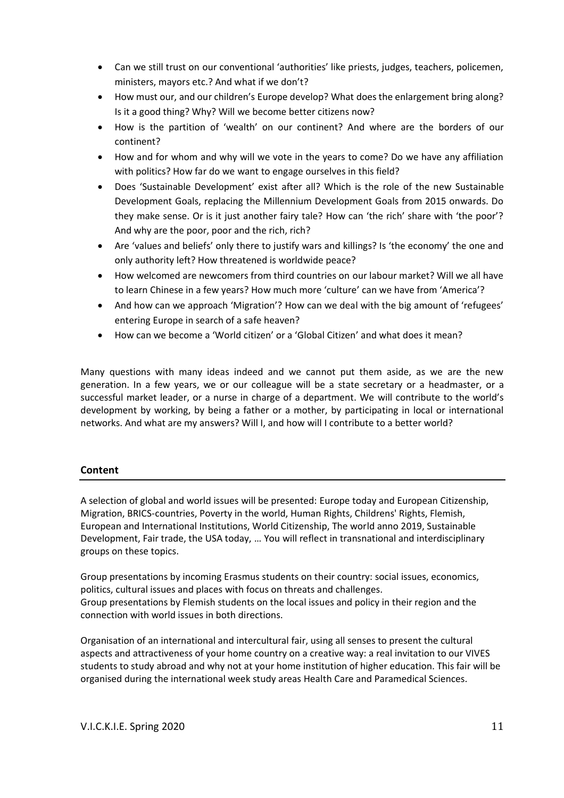- Can we still trust on our conventional 'authorities' like priests, judges, teachers, policemen, ministers, mayors etc.? And what if we don't?
- How must our, and our children's Europe develop? What does the enlargement bring along? Is it a good thing? Why? Will we become better citizens now?
- How is the partition of 'wealth' on our continent? And where are the borders of our continent?
- How and for whom and why will we vote in the years to come? Do we have any affiliation with politics? How far do we want to engage ourselves in this field?
- Does 'Sustainable Development' exist after all? Which is the role of the new Sustainable Development Goals, replacing the Millennium Development Goals from 2015 onwards. Do they make sense. Or is it just another fairy tale? How can 'the rich' share with 'the poor'? And why are the poor, poor and the rich, rich?
- Are 'values and beliefs' only there to justify wars and killings? Is 'the economy' the one and only authority left? How threatened is worldwide peace?
- How welcomed are newcomers from third countries on our labour market? Will we all have to learn Chinese in a few years? How much more 'culture' can we have from 'America'?
- And how can we approach 'Migration'? How can we deal with the big amount of 'refugees' entering Europe in search of a safe heaven?
- How can we become a 'World citizen' or a 'Global Citizen' and what does it mean?

Many questions with many ideas indeed and we cannot put them aside, as we are the new generation. In a few years, we or our colleague will be a state secretary or a headmaster, or a successful market leader, or a nurse in charge of a department. We will contribute to the world's development by working, by being a father or a mother, by participating in local or international networks. And what are my answers? Will I, and how will I contribute to a better world?

#### **Content**

A selection of global and world issues will be presented: Europe today and European Citizenship, Migration, BRICS-countries, Poverty in the world, Human Rights, Childrens' Rights, Flemish, European and International Institutions, World Citizenship, The world anno 2019, Sustainable Development, Fair trade, the USA today, … You will reflect in transnational and interdisciplinary groups on these topics.

Group presentations by incoming Erasmus students on their country: social issues, economics, politics, cultural issues and places with focus on threats and challenges. Group presentations by Flemish students on the local issues and policy in their region and the connection with world issues in both directions.

Organisation of an international and intercultural fair, using all senses to present the cultural aspects and attractiveness of your home country on a creative way: a real invitation to our VIVES students to study abroad and why not at your home institution of higher education. This fair will be organised during the international week study areas Health Care and Paramedical Sciences.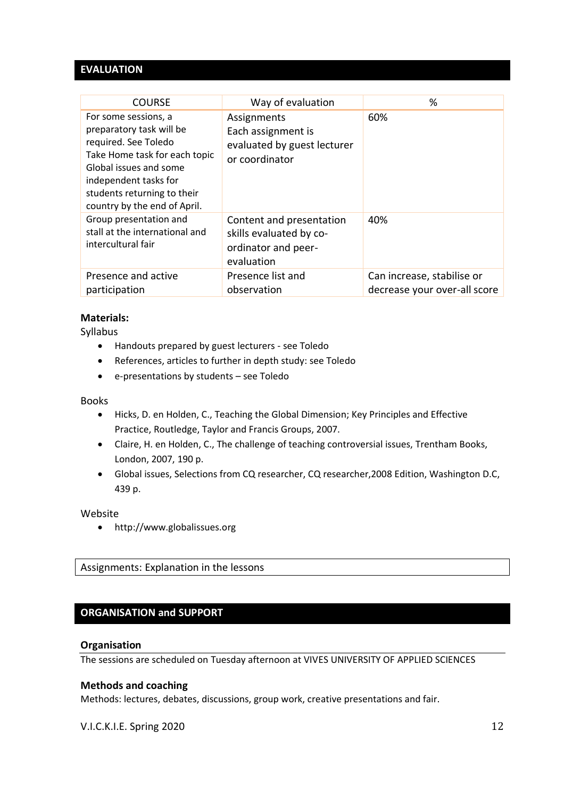# **EVALUATION**

| <b>COURSE</b>                                                                                                                                                                                                               | Way of evaluation                                                                        | %                                                          |
|-----------------------------------------------------------------------------------------------------------------------------------------------------------------------------------------------------------------------------|------------------------------------------------------------------------------------------|------------------------------------------------------------|
| For some sessions, a<br>preparatory task will be<br>required. See Toledo<br>Take Home task for each topic<br>Global issues and some<br>independent tasks for<br>students returning to their<br>country by the end of April. | Assignments<br>Each assignment is<br>evaluated by guest lecturer<br>or coordinator       | 60%                                                        |
| Group presentation and<br>stall at the international and<br>intercultural fair                                                                                                                                              | Content and presentation<br>skills evaluated by co-<br>ordinator and peer-<br>evaluation | 40%                                                        |
| Presence and active<br>participation                                                                                                                                                                                        | Presence list and<br>observation                                                         | Can increase, stabilise or<br>decrease your over-all score |

### **Materials:**

Syllabus

- Handouts prepared by guest lecturers see Toledo
- References, articles to further in depth study: see Toledo
- e-presentations by students see Toledo

#### Books

- Hicks, D. en Holden, C., Teaching the Global Dimension; Key Principles and Effective Practice, Routledge, Taylor and Francis Groups, 2007.
- Claire, H. en Holden, C., The challenge of teaching controversial issues, Trentham Books, London, 2007, 190 p.
- Global issues, Selections from CQ researcher, CQ researcher,2008 Edition, Washington D.C, 439 p.

#### Website

• http://www.globalissues.org

Assignments: Explanation in the lessons

#### **ORGANISATION and SUPPORT**

#### **Organisation**

The sessions are scheduled on Tuesday afternoon at VIVES UNIVERSITY OF APPLIED SCIENCES

#### **Methods and coaching**

Methods: lectures, debates, discussions, group work, creative presentations and fair.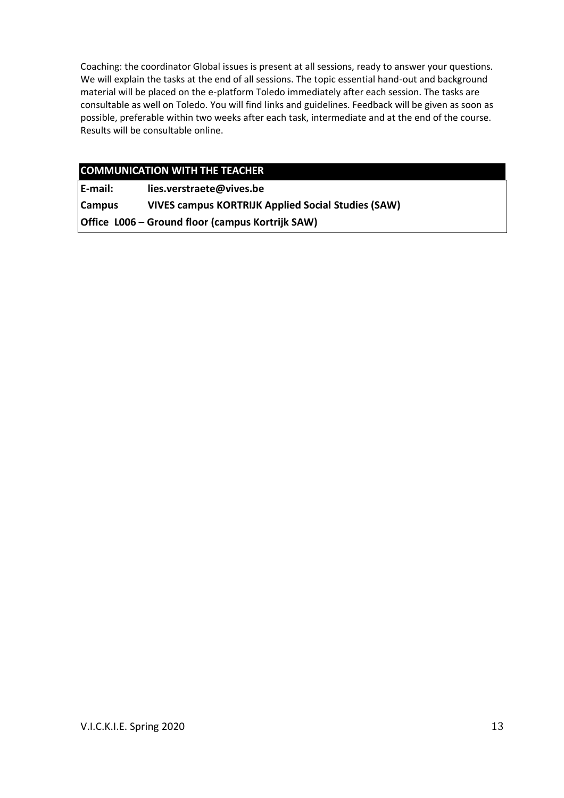Coaching: the coordinator Global issues is present at all sessions, ready to answer your questions. We will explain the tasks at the end of all sessions. The topic essential hand-out and background material will be placed on the e-platform Toledo immediately after each session. The tasks are consultable as well on Toledo. You will find links and guidelines. Feedback will be given as soon as possible, preferable within two weeks after each task, intermediate and at the end of the course. Results will be consultable online.

# **COMMUNICATION WITH THE TEACHER**

**E-mail: [lies.verstraete@vives.be](mailto:eveline.leroy@vives.be)**

**Campus VIVES campus KORTRIJK Applied Social Studies (SAW) Office L006 – Ground floor (campus Kortrijk SAW)**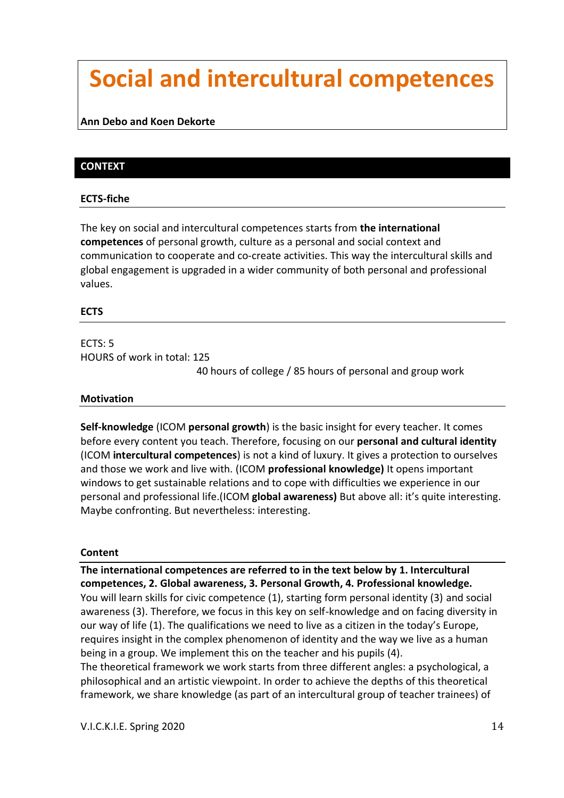# **Social and intercultural competences**

### **Ann Debo and Koen Dekorte**

# **CONTEXT**

#### **ECTS-fiche**

The key on social and intercultural competences starts from **the international competences** of personal growth, culture as a personal and social context and communication to cooperate and co-create activities. This way the intercultural skills and global engagement is upgraded in a wider community of both personal and professional values.

#### **ECTS**

# ECTS: 5 HOURS of work in total: 125

40 hours of college / 85 hours of personal and group work

#### **Motivation**

**Self-knowledge** (ICOM **personal growth**) is the basic insight for every teacher. It comes before every content you teach. Therefore, focusing on our **personal and cultural identity** (ICOM **intercultural competences**) is not a kind of luxury. It gives a protection to ourselves and those we work and live with. (ICOM **professional knowledge)** It opens important windows to get sustainable relations and to cope with difficulties we experience in our personal and professional life.(ICOM **global awareness)** But above all: it's quite interesting. Maybe confronting. But nevertheless: interesting.

#### **Content**

**The international competences are referred to in the text below by 1. Intercultural competences, 2. Global awareness, 3. Personal Growth, 4. Professional knowledge.**  You will learn skills for civic competence (1), starting form personal identity (3) and social awareness (3). Therefore, we focus in this key on self-knowledge and on facing diversity in our way of life (1). The qualifications we need to live as a citizen in the today's Europe, requires insight in the complex phenomenon of identity and the way we live as a human being in a group. We implement this on the teacher and his pupils (4). The theoretical framework we work starts from three different angles: a psychological, a philosophical and an artistic viewpoint. In order to achieve the depths of this theoretical framework, we share knowledge (as part of an intercultural group of teacher trainees) of

V.I.C.K.I.E. Spring 2020 14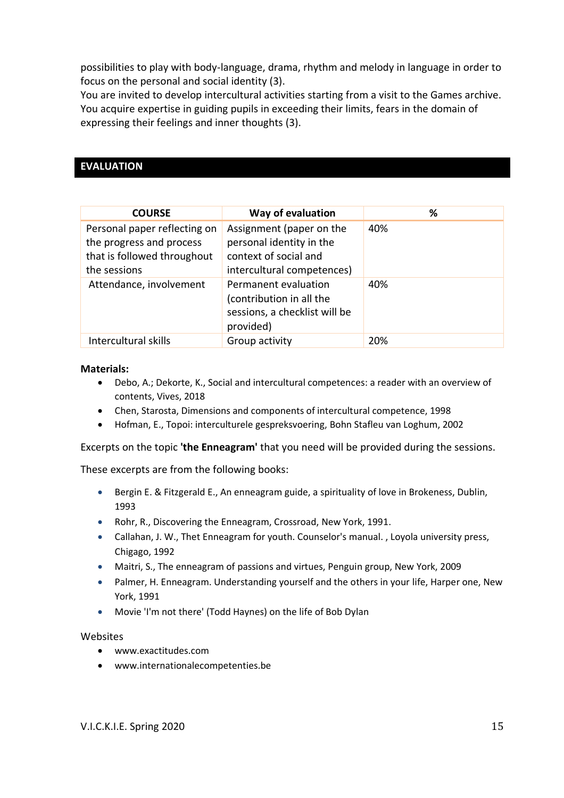possibilities to play with body-language, drama, rhythm and melody in language in order to focus on the personal and social identity (3).

You are invited to develop intercultural activities starting from a visit to the Games archive. You acquire expertise in guiding pupils in exceeding their limits, fears in the domain of expressing their feelings and inner thoughts (3).

# **EVALUATION**

| <b>COURSE</b>                                                                                           | Way of evaluation                                                                                           | %   |
|---------------------------------------------------------------------------------------------------------|-------------------------------------------------------------------------------------------------------------|-----|
| Personal paper reflecting on<br>the progress and process<br>that is followed throughout<br>the sessions | Assignment (paper on the<br>personal identity in the<br>context of social and<br>intercultural competences) | 40% |
| Attendance, involvement                                                                                 | Permanent evaluation<br>(contribution in all the<br>sessions, a checklist will be<br>provided)              | 40% |
| Intercultural skills                                                                                    | Group activity                                                                                              | 20% |

#### **Materials:**

- Debo, A.; Dekorte, K., Social and intercultural competences: a reader with an overview of contents, Vives, 2018
- Chen, Starosta, Dimensions and components of intercultural competence, 1998
- Hofman, E., Topoi: interculturele gespreksvoering, [Bohn Stafleu van Loghum,](http://www.bol.com/nl/b/boeken/bohn-stafleu-van-loghum/1926666/index.html?lastId=182) 2002

Excerpts on the topic **'the Enneagram'** that you need will be provided during the sessions.

These excerpts are from the following books:

- Bergin E. & Fitzgerald E., An enneagram guide, a spirituality of love in Brokeness, Dublin, 1993
- Rohr, R., Discovering the Enneagram, Crossroad, New York, 1991.
- Callahan, J. W., Thet Enneagram for youth. Counselor's manual. , Loyola university press, Chigago, 1992
- Maitri, S., The enneagram of passions and virtues, Penguin group, New York, 2009
- Palmer, H. Enneagram. Understanding yourself and the others in your life, Harper one, New York, 1991
- Movie 'I'm not there' (Todd Haynes) on the life of Bob Dylan

#### Websites

- [www.exactitudes.com](http://www.exactitudes.com/)
- [www.internationalecompetenties.be](http://www.internationalecompetenties.be/)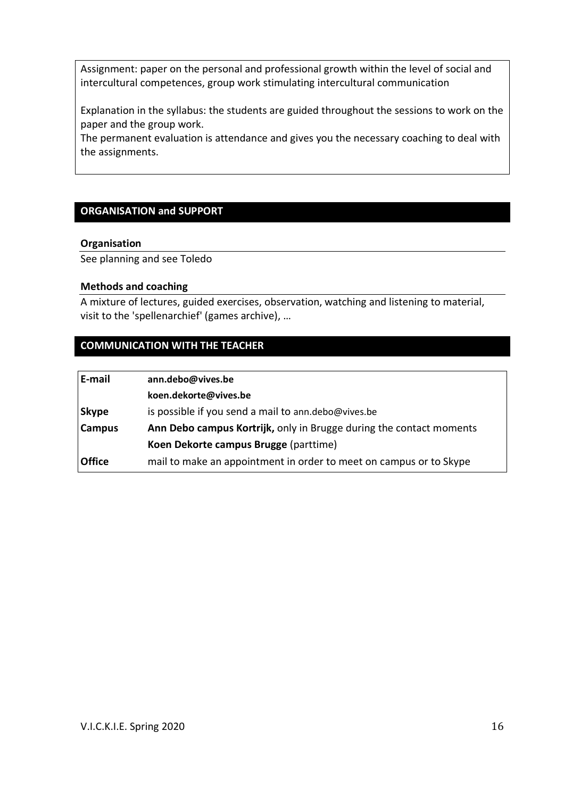Assignment: paper on the personal and professional growth within the level of social and intercultural competences, group work stimulating intercultural communication

Explanation in the syllabus: the students are guided throughout the sessions to work on the paper and the group work.

The permanent evaluation is attendance and gives you the necessary coaching to deal with the assignments.

# **ORGANISATION and SUPPORT**

#### **Organisation**

See planning and see Toledo

#### **Methods and coaching**

A mixture of lectures, guided exercises, observation, watching and listening to material, visit to the 'spellenarchief' (games archive), …

# **COMMUNICATION WITH THE TEACHER**

| E-mail        | ann.debo@vives.be                                                   |
|---------------|---------------------------------------------------------------------|
|               | koen.dekorte@vives.be                                               |
| <b>Skype</b>  | is possible if you send a mail to ann.debo@vives.be                 |
| <b>Campus</b> | Ann Debo campus Kortrijk, only in Brugge during the contact moments |
|               | Koen Dekorte campus Brugge (parttime)                               |
| <b>Office</b> | mail to make an appointment in order to meet on campus or to Skype  |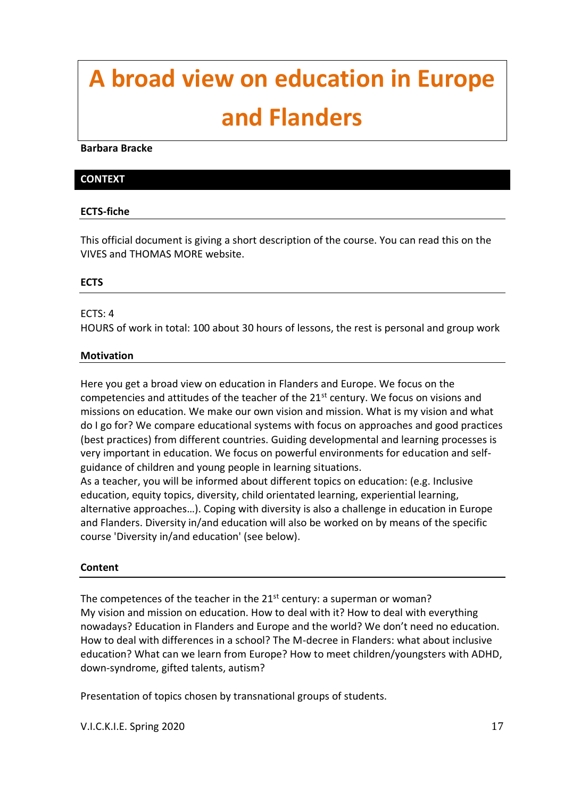# **A broad view on education in Europe and Flanders**

#### **Barbara Bracke**

#### **CONTEXT**

### **ECTS-fiche**

This official document is giving a short description of the course. You can read this on the VIVES and THOMAS MORE website.

### **ECTS**

#### ECTS: 4

HOURS of work in total: 100 about 30 hours of lessons, the rest is personal and group work

#### **Motivation**

Here you get a broad view on education in Flanders and Europe. We focus on the competencies and attitudes of the teacher of the  $21<sup>st</sup>$  century. We focus on visions and missions on education. We make our own vision and mission. What is my vision and what do I go for? We compare educational systems with focus on approaches and good practices (best practices) from different countries. Guiding developmental and learning processes is very important in education. We focus on powerful environments for education and selfguidance of children and young people in learning situations.

As a teacher, you will be informed about different topics on education: (e.g. Inclusive education, equity topics, diversity, child orientated learning, experiential learning, alternative approaches…). Coping with diversity is also a challenge in education in Europe and Flanders. Diversity in/and education will also be worked on by means of the specific course 'Diversity in/and education' (see below).

#### **Content**

The competences of the teacher in the  $21^{st}$  century: a superman or woman? My vision and mission on education. How to deal with it? How to deal with everything nowadays? Education in Flanders and Europe and the world? We don't need no education. How to deal with differences in a school? The M-decree in Flanders: what about inclusive education? What can we learn from Europe? How to meet children/youngsters with ADHD, down-syndrome, gifted talents, autism?

Presentation of topics chosen by transnational groups of students.

V.I.C.K.I.E. Spring 2020 17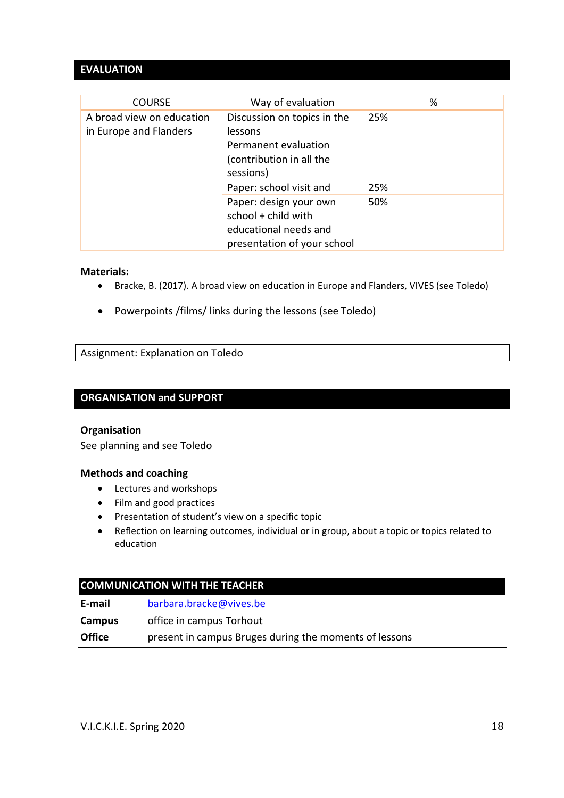# **EVALUATION**

| <b>COURSE</b>                                       | Way of evaluation                                                                                       | %   |
|-----------------------------------------------------|---------------------------------------------------------------------------------------------------------|-----|
| A broad view on education<br>in Europe and Flanders | Discussion on topics in the<br>lessons<br>Permanent evaluation<br>(contribution in all the<br>sessions) | 25% |
|                                                     | Paper: school visit and                                                                                 | 25% |
|                                                     | Paper: design your own<br>school + child with<br>educational needs and<br>presentation of your school   | 50% |

#### **Materials:**

- Bracke, B. (2017). A broad view on education in Europe and Flanders, VIVES (see Toledo)
- Powerpoints /films/ links during the lessons (see Toledo)

Assignment: Explanation on Toledo

#### **ORGANISATION and SUPPORT**

#### **Organisation**

See planning and see Toledo

#### **Methods and coaching**

- Lectures and workshops
- Film and good practices
- Presentation of student's view on a specific topic
- Reflection on learning outcomes, individual or in group, about a topic or topics related to education

#### **COMMUNICATION WITH THE TEACHER**

| E-mail | barbara.bracke@vives.be |
|--------|-------------------------|
|--------|-------------------------|

**Campus** office in campus Torhout

**Office** present in campus Bruges during the moments of lessons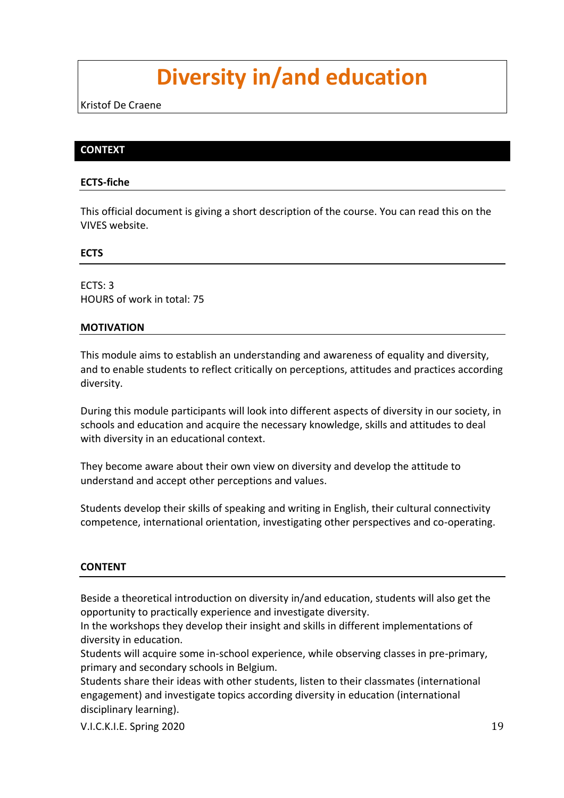# **Diversity in/and education**

Kristof De Craene

### **CONTEXT**

#### **ECTS-fiche**

This official document is giving a short description of the course. You can read this on the VIVES website.

#### **ECTS**

 $FCTS: 3$ HOURS of work in total: 75

#### **MOTIVATION**

This module aims to establish an understanding and awareness of equality and diversity, and to enable students to reflect critically on perceptions, attitudes and practices according diversity.

During this module participants will look into different aspects of diversity in our society, in schools and education and acquire the necessary knowledge, skills and attitudes to deal with diversity in an educational context.

They become aware about their own view on diversity and develop the attitude to understand and accept other perceptions and values.

Students develop their skills of speaking and writing in English, their cultural connectivity competence, international orientation, investigating other perspectives and co-operating.

#### **CONTENT**

Beside a theoretical introduction on diversity in/and education, students will also get the opportunity to practically experience and investigate diversity.

In the workshops they develop their insight and skills in different implementations of diversity in education.

Students will acquire some in-school experience, while observing classes in pre-primary, primary and secondary schools in Belgium.

Students share their ideas with other students, listen to their classmates (international engagement) and investigate topics according diversity in education (international disciplinary learning).

V.I.C.K.I.E. Spring 2020 19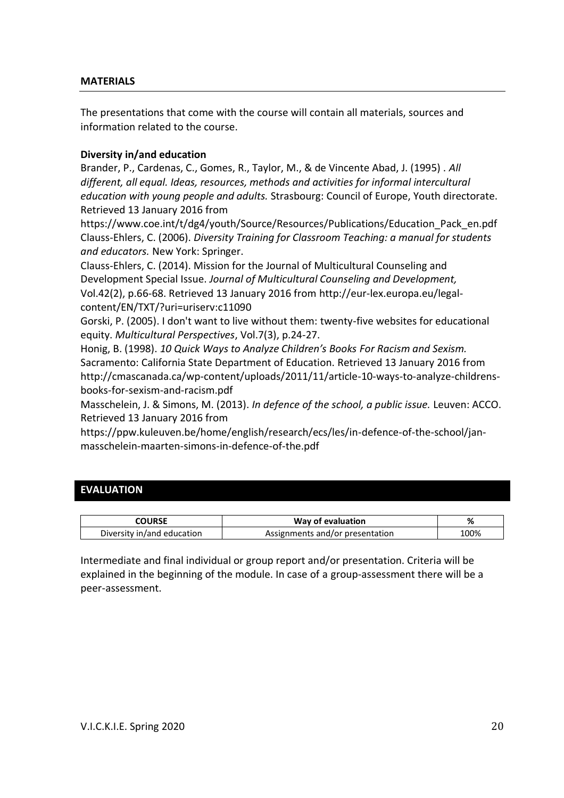#### **MATERIALS**

The presentations that come with the course will contain all materials, sources and information related to the course.

### **Diversity in/and education**

Brander, P., Cardenas, C., Gomes, R., Taylor, M., & de Vincente Abad, J. (1995) . *All different, all equal. Ideas, resources, methods and activities for informal intercultural education with young people and adults.* Strasbourg: Council of Europe, Youth directorate. Retrieved 13 January 2016 from

[https://www.coe.int/t/dg4/youth/Source/Resources/Publications/Education\\_Pack\\_en.pdf](https://www.coe.int/t/dg4/youth/Source/Resources/Publications/Education_Pack_en.pdf) [Clauss-Ehlers, C.](http://limo.libis.be/primo_library/libweb/action/search.do?vl%28freeText0%29=Clauss-Ehlers%2c+Caroline+S.&vl%2879942425UI0%29=creator&vl%28106421257UI1%29=all_items&fn=search&tab=all_content_tab&mode=Basic&vid=TMOREK&scp.scps=scope%3a%2832LIBIS_ALMA_DS_P%29%2cscope%3a%28SCOPE_773%29%2cscope%3a%28%22KHK%22%29%2cscope%3a%28TMOREA_P%29%2cscope%3a%28TMOREM_P%29%2cprimo_central_multiple_fe&ct=lateralLinking) (2006). *Diversity Training for Classroom Teaching: a manual for students and educators.* New York: Springer.

[Clauss-Ehlers, C.](http://limo.libis.be/primo_library/libweb/action/search.do?vl%28freeText0%29=Clauss-Ehlers%2c+Caroline+S.&vl%2879942425UI0%29=creator&vl%28106421257UI1%29=all_items&fn=search&tab=all_content_tab&mode=Basic&vid=TMOREK&scp.scps=scope%3a%2832LIBIS_ALMA_DS_P%29%2cscope%3a%28SCOPE_773%29%2cscope%3a%28%22KHK%22%29%2cscope%3a%28TMOREA_P%29%2cscope%3a%28TMOREM_P%29%2cprimo_central_multiple_fe&ct=lateralLinking) (2014). Mission for the Journal of Multicultural Counseling and Development Special Issue. *Journal of Multicultural Counseling and Development,*  Vol.42(2), p.66-68. Retrieved 13 January 2016 from [http://eur-lex.europa.eu/legal](http://eur-lex.europa.eu/legal-content/EN/TXT/?uri=uriserv:c11090)[content/EN/TXT/?uri=uriserv:c11090](http://eur-lex.europa.eu/legal-content/EN/TXT/?uri=uriserv:c11090)

Gorski, P. (2005). I don't want to live without them: twenty-five websites for educational equity. *Multicultural Perspectives*, Vol.7(3), p.24-27.

Honig, B. (1998). *10 Quick Ways to Analyze Children's Books For Racism and Sexism.* Sacramento: California State Department of Education. Retrieved 13 January 2016 from [http://cmascanada.ca/wp-content/uploads/2011/11/article-10-ways-to-analyze-childrens](http://cmascanada.ca/wp-content/uploads/2011/11/article-10-ways-to-analyze-childrens-books-for-sexism-and-racism.pdf)[books-for-sexism-and-racism.pdf](http://cmascanada.ca/wp-content/uploads/2011/11/article-10-ways-to-analyze-childrens-books-for-sexism-and-racism.pdf)

Masschelein, J. & Simons, M. (2013). *In defence of the school, a public issue.* Leuven: ACCO. Retrieved 13 January 2016 from

[https://ppw.kuleuven.be/home/english/research/ecs/les/in-defence-of-the-school/jan](https://ppw.kuleuven.be/home/english/research/ecs/les/in-defence-of-the-school/jan-masschelein-maarten-simons-in-defence-of-the.pdf)[masschelein-maarten-simons-in-defence-of-the.pdf](https://ppw.kuleuven.be/home/english/research/ecs/les/in-defence-of-the-school/jan-masschelein-maarten-simons-in-defence-of-the.pdf)

#### **EVALUATION**

| COURSE                     | Way of evaluation               | %    |
|----------------------------|---------------------------------|------|
| Diversity in/and education | Assignments and/or presentation | 100% |

Intermediate and final individual or group report and/or presentation. Criteria will be explained in the beginning of the module. In case of a group-assessment there will be a peer-assessment.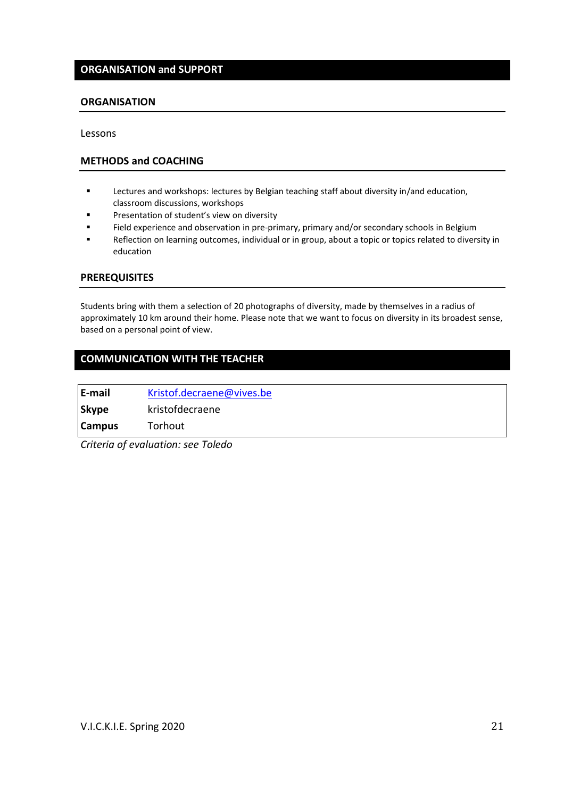#### **ORGANISATION and SUPPORT**

#### **ORGANISATION**

Lessons

#### **METHODS and COACHING**

- Lectures and workshops: lectures by Belgian teaching staff about diversity in/and education, classroom discussions, workshops
- **■** Presentation of student's view on diversity
- **EXECTE FIELD EXECTE FIELD EXECTE FIELD EXECTE FIELD** FIELD experience and observation in Belgium
- Reflection on learning outcomes, individual or in group, about a topic or topics related to diversity in education

#### **PREREQUISITES**

Students bring with them a selection of 20 photographs of diversity, made by themselves in a radius of approximately 10 km around their home. Please note that we want to focus on diversity in its broadest sense, based on a personal point of view.

#### **COMMUNICATION WITH THE TEACHER**

| E-mail        | Kristof.decraene@vives.be |
|---------------|---------------------------|
| <b>Skype</b>  | kristofdecraene           |
| <b>Campus</b> | Torhout                   |

*Criteria of evaluation: see Toledo*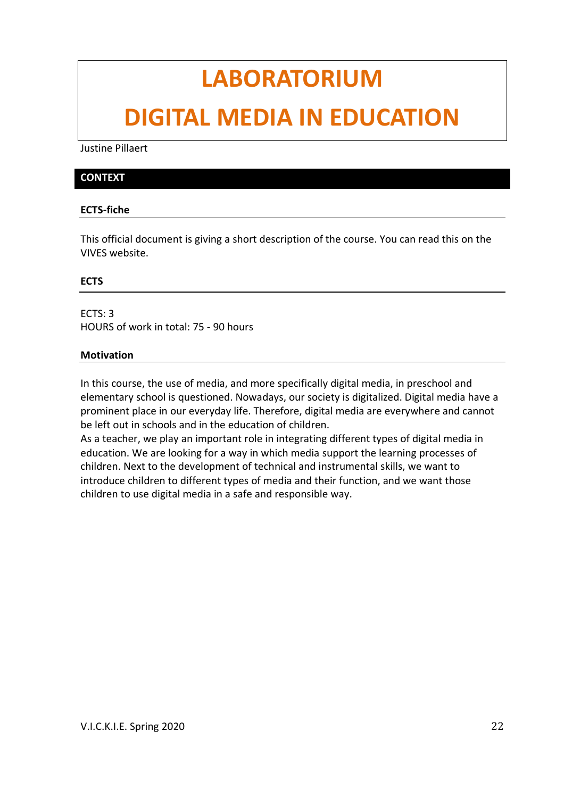# **LABORATORIUM**

# **DIGITAL MEDIA IN EDUCATION**

Justine Pillaert

#### **CONTEXT**

#### **ECTS-fiche**

This official document is giving a short description of the course. You can read this on the VIVES website.

#### **ECTS**

ECTS: 3 HOURS of work in total: 75 - 90 hours

#### **Motivation**

In this course, the use of media, and more specifically digital media, in preschool and elementary school is questioned. Nowadays, our society is digitalized. Digital media have a prominent place in our everyday life. Therefore, digital media are everywhere and cannot be left out in schools and in the education of children.

As a teacher, we play an important role in integrating different types of digital media in education. We are looking for a way in which media support the learning processes of children. Next to the development of technical and instrumental skills, we want to introduce children to different types of media and their function, and we want those children to use digital media in a safe and responsible way.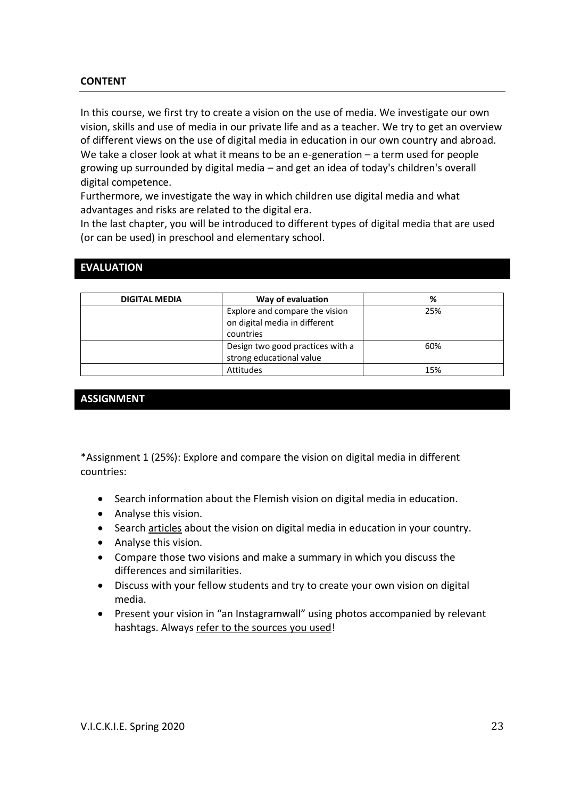#### **CONTENT**

In this course, we first try to create a vision on the use of media. We investigate our own vision, skills and use of media in our private life and as a teacher. We try to get an overview of different views on the use of digital media in education in our own country and abroad. We take a closer look at what it means to be an e-generation – a term used for people growing up surrounded by digital media – and get an idea of today's children's overall digital competence.

Furthermore, we investigate the way in which children use digital media and what advantages and risks are related to the digital era.

In the last chapter, you will be introduced to different types of digital media that are used (or can be used) in preschool and elementary school.

| <b>DIGITAL MEDIA</b> | Way of evaluation                                                            | %   |
|----------------------|------------------------------------------------------------------------------|-----|
|                      | Explore and compare the vision<br>on digital media in different<br>countries | 25% |
|                      | Design two good practices with a<br>strong educational value                 | 60% |
|                      | Attitudes                                                                    | 15% |

### **EVALUATION**

#### **ASSIGNMENT**

\*Assignment 1 (25%): Explore and compare the vision on digital media in different countries:

- Search information about the Flemish vision on digital media in education.
- Analyse this vision.
- Search articles about the vision on digital media in education in your country.
- Analyse this vision.
- Compare those two visions and make a summary in which you discuss the differences and similarities.
- Discuss with your fellow students and try to create your own vision on digital media.
- Present your vision in "an Instagramwall" using photos accompanied by relevant hashtags. Always refer to the sources you used!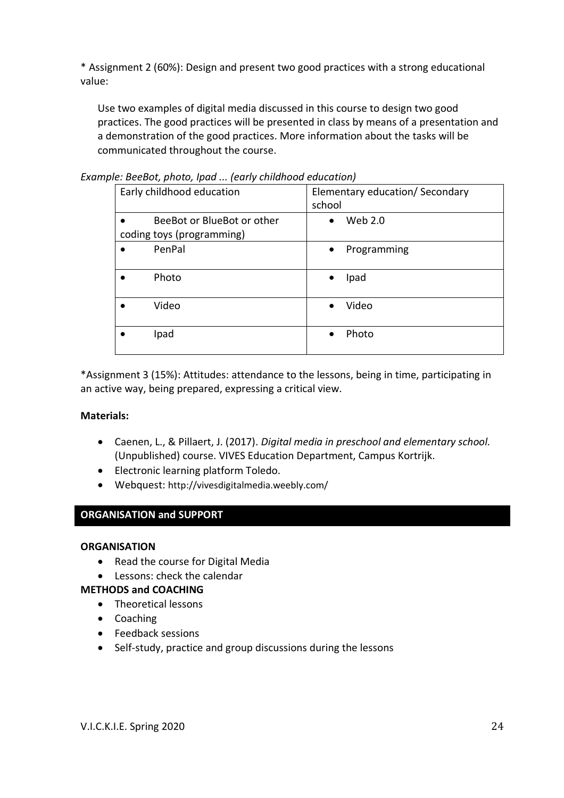\* Assignment 2 (60%): Design and present two good practices with a strong educational value:

Use two examples of digital media discussed in this course to design two good practices. The good practices will be presented in class by means of a presentation and a demonstration of the good practices. More information about the tasks will be communicated throughout the course.

| ic. Declot, photo, ipuu  [curry childrood cuucution]<br>Early childhood education | Elementary education/ Secondary |
|-----------------------------------------------------------------------------------|---------------------------------|
|                                                                                   | school                          |
| BeeBot or BlueBot or other                                                        | Web 2.0<br>$\bullet$            |
| coding toys (programming)                                                         |                                 |
| PenPal                                                                            | Programming<br>$\bullet$        |
| Photo                                                                             | Ipad<br>$\bullet$               |
| Video                                                                             | Video                           |
| Ipad                                                                              | Photo                           |

*Example: BeeBot, photo, Ipad ... (early childhood education)*

\*Assignment 3 (15%): Attitudes: attendance to the lessons, being in time, participating in an active way, being prepared, expressing a critical view.

#### **Materials:**

- Caenen, L., & Pillaert, J. (2017). *Digital media in preschool and elementary school.*  (Unpublished) course. VIVES Education Department, Campus Kortrijk.
- Electronic learning platform Toledo.
- Webquest: <http://vivesdigitalmedia.weebly.com/>

# **ORGANISATION and SUPPORT**

#### **ORGANISATION**

- Read the course for Digital Media
- Lessons: check the calendar

#### **METHODS and COACHING**

- Theoretical lessons
- Coaching
- Feedback sessions
- Self-study, practice and group discussions during the lessons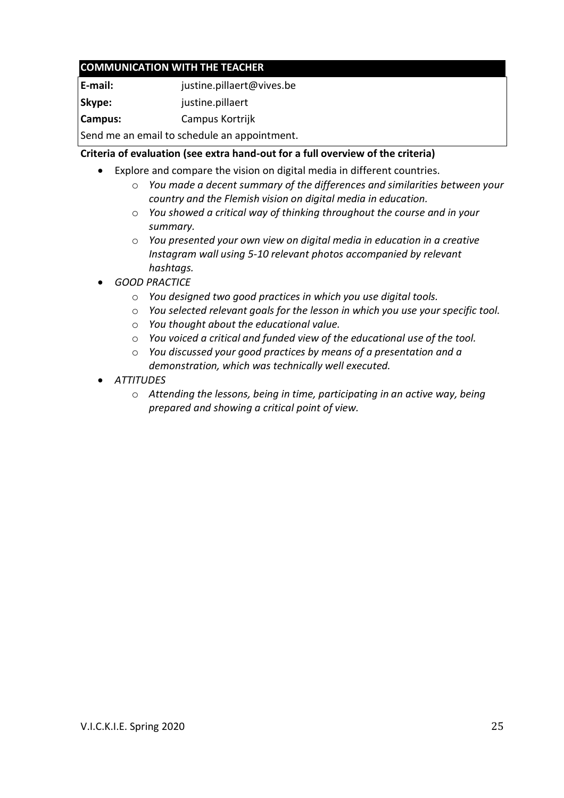# **COMMUNICATION WITH THE TEACHER**

| E-mail: | justine.pillaert@vives.be |
|---------|---------------------------|
| Skype:  | justine.pillaert          |
| Campus: | Campus Kortrijk           |
|         |                           |

Send me an email to schedule an appointment.

# **Criteria of evaluation (see extra hand-out for a full overview of the criteria)**

- Explore and compare the vision on digital media in different countries.
	- o *You made a decent summary of the differences and similarities between your country and the Flemish vision on digital media in education.*
	- o *You showed a critical way of thinking throughout the course and in your summary.*
	- o *You presented your own view on digital media in education in a creative Instagram wall using 5-10 relevant photos accompanied by relevant hashtags.*
- *GOOD PRACTICE*
	- o *You designed two good practices in which you use digital tools.*
	- o *You selected relevant goals for the lesson in which you use your specific tool.*
	- o *You thought about the educational value.*
	- o *You voiced a critical and funded view of the educational use of the tool.*
	- o *You discussed your good practices by means of a presentation and a demonstration, which was technically well executed.*
- *ATTITUDES*
	- o *Attending the lessons, being in time, participating in an active way, being prepared and showing a critical point of view.*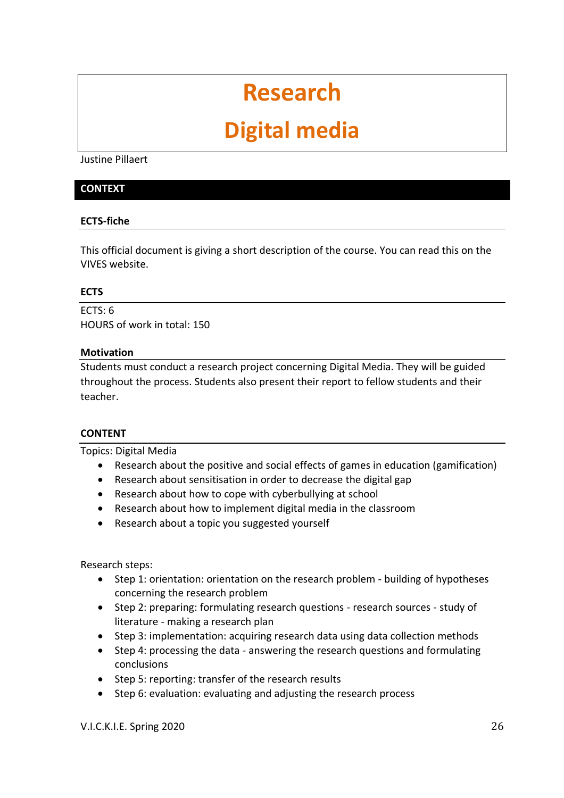# **Research**

# **Digital media**

Justine Pillaert

#### **CONTEXT**

#### **ECTS-fiche**

This official document is giving a short description of the course. You can read this on the VIVES website.

#### **ECTS**

 $FCTS: 6$ HOURS of work in total: 150

#### **Motivation**

Students must conduct a research project concerning Digital Media. They will be guided throughout the process. Students also present their report to fellow students and their teacher.

#### **CONTENT**

Topics: Digital Media

- Research about the positive and social effects of games in education (gamification)
- Research about sensitisation in order to decrease the digital gap
- Research about how to cope with cyberbullying at school
- Research about how to implement digital media in the classroom
- Research about a topic you suggested yourself

Research steps:

- Step 1: orientation: orientation on the research problem building of hypotheses concerning the research problem
- Step 2: preparing: formulating research questions research sources study of literature - making a research plan
- Step 3: implementation: acquiring research data using data collection methods
- Step 4: processing the data answering the research questions and formulating conclusions
- Step 5: reporting: transfer of the research results
- Step 6: evaluation: evaluating and adjusting the research process

V.I.C.K.I.E. Spring 2020 26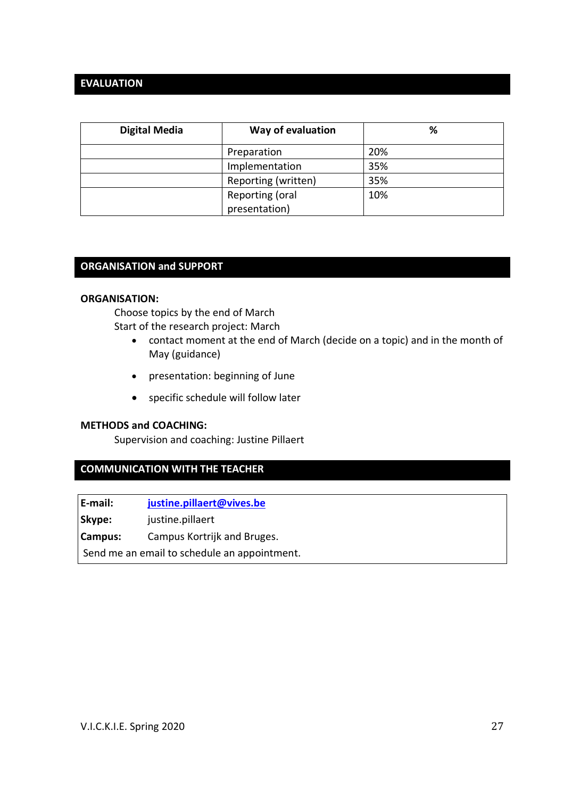## **EVALUATION**

| <b>Digital Media</b> | Way of evaluation   | %   |
|----------------------|---------------------|-----|
|                      | Preparation         | 20% |
|                      | Implementation      | 35% |
|                      | Reporting (written) | 35% |
|                      | Reporting (oral     | 10% |
|                      | presentation)       |     |

# **ORGANISATION and SUPPORT**

#### **ORGANISATION:**

Choose topics by the end of March Start of the research project: March

- contact moment at the end of March (decide on a topic) and in the month of May (guidance)
- presentation: beginning of June
- specific schedule will follow later

#### **METHODS and COACHING:**

Supervision and coaching: Justine Pillaert

# **COMMUNICATION WITH THE TEACHER**

**E-mail: [justine.pillaert@vives.be](mailto:justine.pillaert@vives.be) Skype:** justine.pillaert **Campus:** Campus Kortrijk and Bruges. Send me an email to schedule an appointment.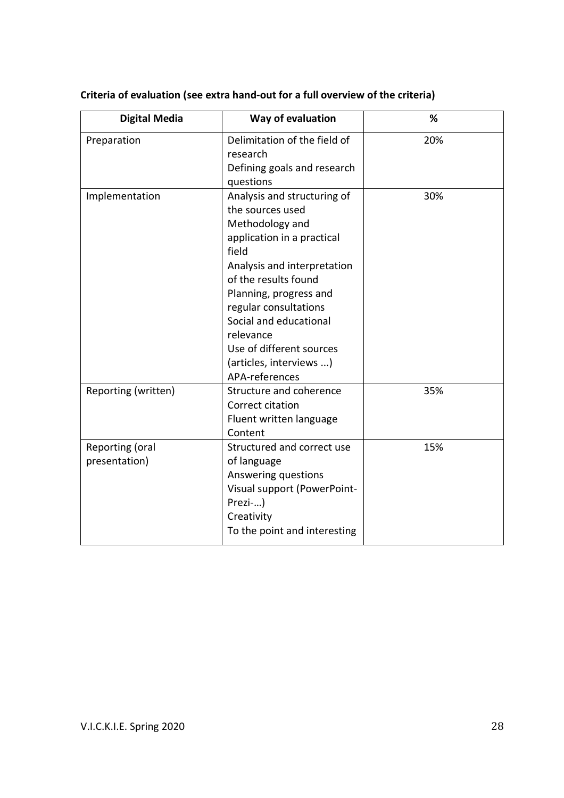| <b>Digital Media</b>             | Way of evaluation                                                                                                                                                                                                                                                                                                                   | %   |
|----------------------------------|-------------------------------------------------------------------------------------------------------------------------------------------------------------------------------------------------------------------------------------------------------------------------------------------------------------------------------------|-----|
| Preparation                      | Delimitation of the field of<br>research<br>Defining goals and research<br>questions                                                                                                                                                                                                                                                | 20% |
| Implementation                   | Analysis and structuring of<br>the sources used<br>Methodology and<br>application in a practical<br>field<br>Analysis and interpretation<br>of the results found<br>Planning, progress and<br>regular consultations<br>Social and educational<br>relevance<br>Use of different sources<br>(articles, interviews )<br>APA-references | 30% |
| Reporting (written)              | Structure and coherence<br>Correct citation<br>Fluent written language<br>Content                                                                                                                                                                                                                                                   | 35% |
| Reporting (oral<br>presentation) | Structured and correct use<br>of language<br>Answering questions<br>Visual support (PowerPoint-<br>Prezi-)<br>Creativity<br>To the point and interesting                                                                                                                                                                            | 15% |

**Criteria of evaluation (see extra hand-out for a full overview of the criteria)**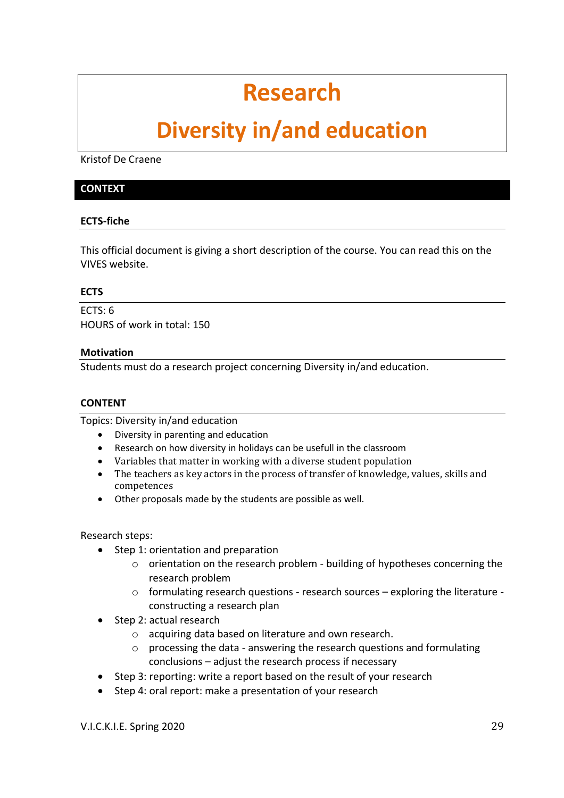# **Research**

# **Diversity in/and education**

Kristof De Craene

#### **CONTEXT**

#### **ECTS-fiche**

This official document is giving a short description of the course. You can read this on the VIVES website.

#### **ECTS**

 $ECTS: 6$ HOURS of work in total: 150

#### **Motivation**

Students must do a research project concerning Diversity in/and education.

#### **CONTENT**

Topics: Diversity in/and education

- Diversity in parenting and education
- Research on how diversity in holidays can be usefull in the classroom
- Variables that matter in working with a diverse student population
- The teachers as key actors in the process of transfer of knowledge, values, skills and competences
- Other proposals made by the students are possible as well.

Research steps:

- Step 1: orientation and preparation
	- o orientation on the research problem building of hypotheses concerning the research problem
	- o formulating research questions research sources exploring the literature constructing a research plan
- Step 2: actual research
	- o acquiring data based on literature and own research.
	- $\circ$  processing the data answering the research questions and formulating conclusions – adjust the research process if necessary
- Step 3: reporting: write a report based on the result of your research
- Step 4: oral report: make a presentation of your research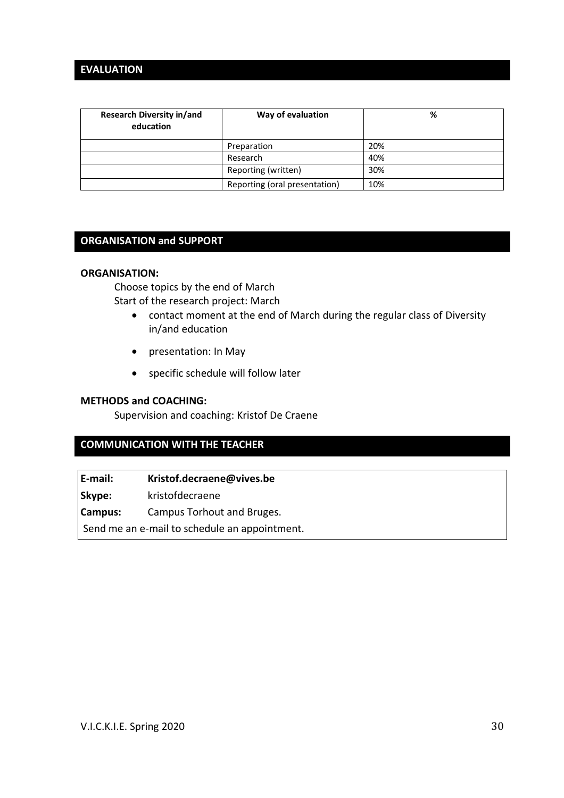# **EVALUATION**

| <b>Research Diversity in/and</b><br>education | Way of evaluation             | %   |
|-----------------------------------------------|-------------------------------|-----|
|                                               | Preparation                   | 20% |
|                                               | Research                      | 40% |
|                                               | Reporting (written)           | 30% |
|                                               | Reporting (oral presentation) | 10% |

#### **ORGANISATION and SUPPORT**

#### **ORGANISATION:**

Choose topics by the end of March Start of the research project: March

- contact moment at the end of March during the regular class of Diversity in/and education
- presentation: In May
- specific schedule will follow later

#### **METHODS and COACHING:**

Supervision and coaching: Kristof De Craene

# **COMMUNICATION WITH THE TEACHER**

**E-mail: Kristof.decraene@vives.be**

**Skype:** kristofdecraene

**Campus:** Campus Torhout and Bruges.

Send me an e-mail to schedule an appointment.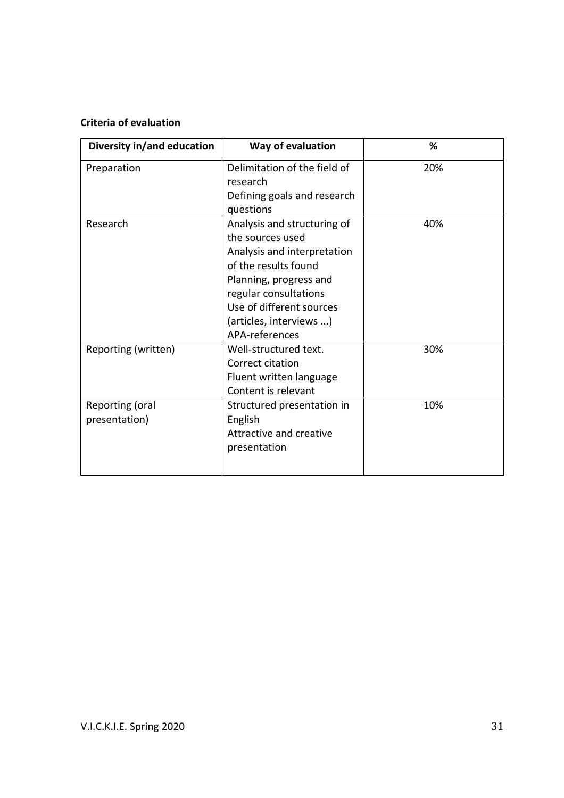# **Criteria of evaluation**

| Diversity in/and education       | Way of evaluation                                                                                                                                                                                                                  | %   |
|----------------------------------|------------------------------------------------------------------------------------------------------------------------------------------------------------------------------------------------------------------------------------|-----|
| Preparation                      | Delimitation of the field of<br>research<br>Defining goals and research<br>questions                                                                                                                                               | 20% |
| Research                         | Analysis and structuring of<br>the sources used<br>Analysis and interpretation<br>of the results found<br>Planning, progress and<br>regular consultations<br>Use of different sources<br>(articles, interviews )<br>APA-references | 40% |
| Reporting (written)              | Well-structured text.<br>Correct citation<br>Fluent written language<br>Content is relevant                                                                                                                                        | 30% |
| Reporting (oral<br>presentation) | Structured presentation in<br>English<br>Attractive and creative<br>presentation                                                                                                                                                   | 10% |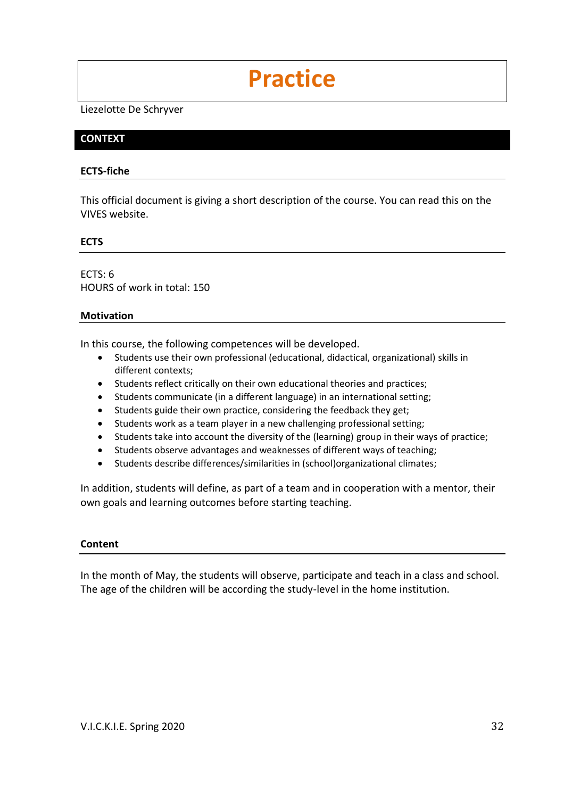# **Practice**

Liezelotte De Schryver

### **CONTEXT**

#### **ECTS-fiche**

This official document is giving a short description of the course. You can read this on the VIVES website.

#### **ECTS**

ECTS: 6 HOURS of work in total: 150

#### **Motivation**

In this course, the following competences will be developed.

- Students use their own professional (educational, didactical, organizational) skills in different contexts;
- Students reflect critically on their own educational theories and practices;
- Students communicate (in a different language) in an international setting;
- Students guide their own practice, considering the feedback they get;
- Students work as a team player in a new challenging professional setting;
- Students take into account the diversity of the (learning) group in their ways of practice;
- Students observe advantages and weaknesses of different ways of teaching;
- Students describe differences/similarities in (school)organizational climates;

In addition, students will define, as part of a team and in cooperation with a mentor, their own goals and learning outcomes before starting teaching.

#### **Content**

In the month of May, the students will observe, participate and teach in a class and school. The age of the children will be according the study-level in the home institution.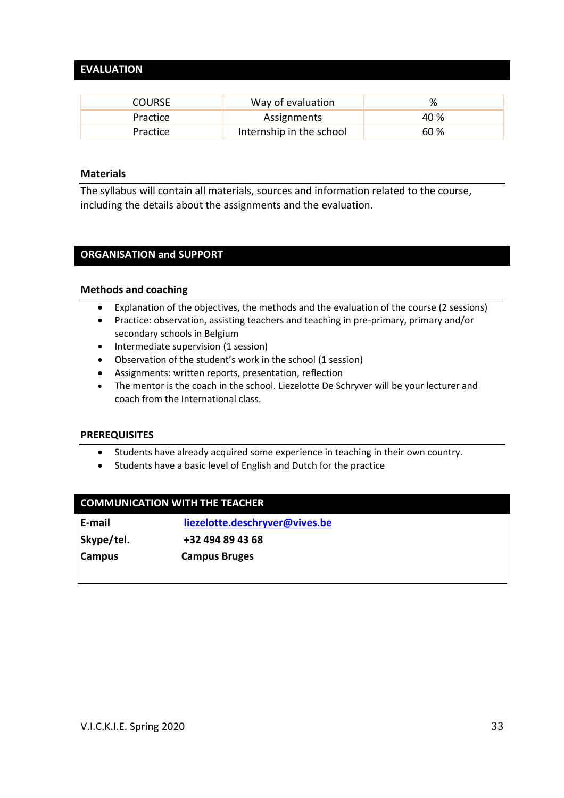# **EVALUATION**

| <b>COURSE</b> | Way of evaluation        | %    |
|---------------|--------------------------|------|
| Practice      | Assignments              | 40 % |
| Practice      | Internship in the school | 60 % |

#### **Materials**

The syllabus will contain all materials, sources and information related to the course, including the details about the assignments and the evaluation.

#### **ORGANISATION and SUPPORT**

#### **Methods and coaching**

- Explanation of the objectives, the methods and the evaluation of the course (2 sessions)
- Practice: observation, assisting teachers and teaching in pre-primary, primary and/or secondary schools in Belgium
- Intermediate supervision (1 session)
- Observation of the student's work in the school (1 session)
- Assignments: written reports, presentation, reflection
- The mentor is the coach in the school. Liezelotte De Schryver will be your lecturer and coach from the International class.

#### **PREREQUISITES**

- Students have already acquired some experience in teaching in their own country.
- Students have a basic level of English and Dutch for the practice

| <b>COMMUNICATION WITH THE TEACHER</b> |                                |  |
|---------------------------------------|--------------------------------|--|
| E-mail                                | liezelotte.deschryver@vives.be |  |
| Skype/tel.                            | +32 494 89 43 68               |  |
| <b>Campus</b>                         | <b>Campus Bruges</b>           |  |
|                                       |                                |  |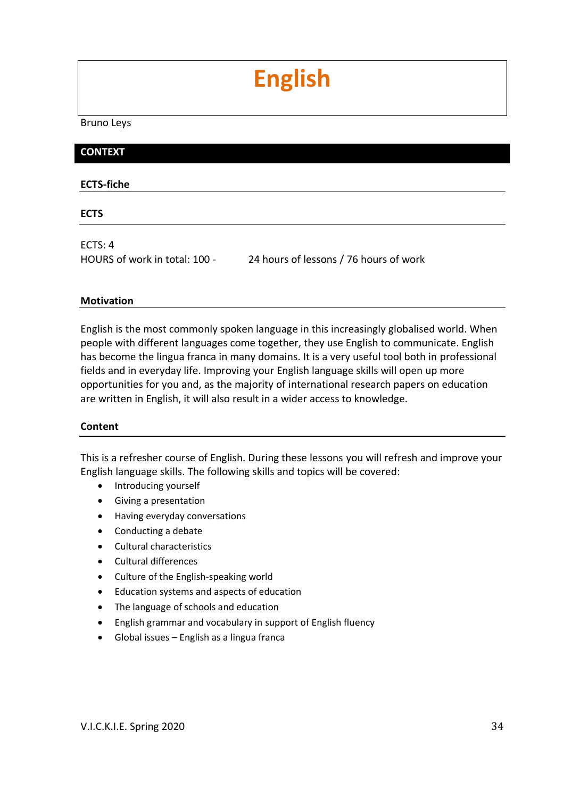# **English**

Bruno Leys

### **CONTEXT**

#### **ECTS-fiche**

**ECTS**

ECTS: 4

HOURS of work in total: 100 - 24 hours of lessons / 76 hours of work

#### **Motivation**

English is the most commonly spoken language in this increasingly globalised world. When people with different languages come together, they use English to communicate. English has become the lingua franca in many domains. It is a very useful tool both in professional fields and in everyday life. Improving your English language skills will open up more opportunities for you and, as the majority of international research papers on education are written in English, it will also result in a wider access to knowledge.

#### **Content**

This is a refresher course of English. During these lessons you will refresh and improve your English language skills. The following skills and topics will be covered:

- Introducing yourself
- Giving a presentation
- Having everyday conversations
- Conducting a debate
- Cultural characteristics
- Cultural differences
- Culture of the English-speaking world
- Education systems and aspects of education
- The language of schools and education
- English grammar and vocabulary in support of English fluency
- Global issues English as a lingua franca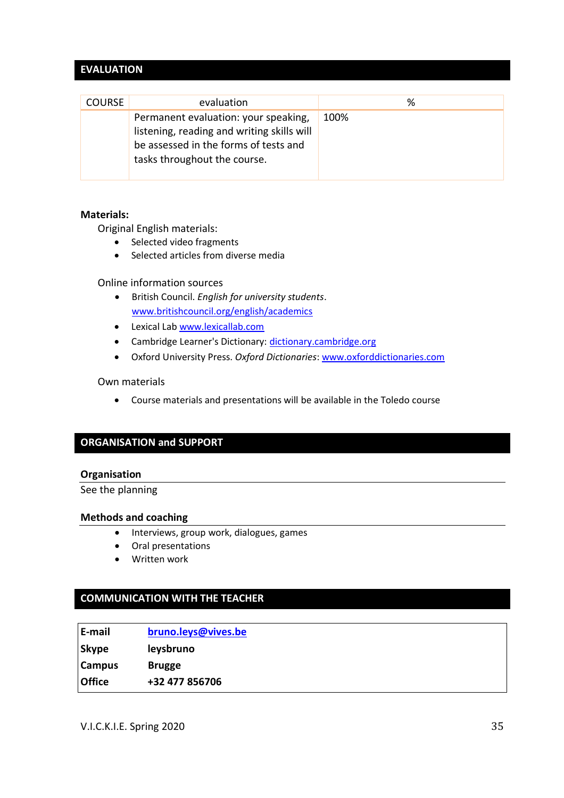# **EVALUATION**

| <b>COURSE</b> | evaluation                                                                                                                                                  | %    |
|---------------|-------------------------------------------------------------------------------------------------------------------------------------------------------------|------|
|               | Permanent evaluation: your speaking,<br>listening, reading and writing skills will<br>be assessed in the forms of tests and<br>tasks throughout the course. | 100% |

#### **Materials:**

Original English materials:

- Selected video fragments
- Selected articles from diverse media

Online information sources

- British Council. *English for university students*. [www.britishcouncil.org/english/academics](http://www.britishcouncil.org/english/academics)
- Lexical Lab [www.lexicallab.com](http://www.lexicallab.com/)
- Cambridge Learner's Dictionary: [dictionary.cambridge.org](http://dictionary.cambridge.org/)
- Oxford University Press. *Oxford Dictionaries*[: www.oxforddictionaries.com](http://www.oxforddictionaries.com/)

#### Own materials

• Course materials and presentations will be available in the Toledo course

# **ORGANISATION and SUPPORT**

#### **Organisation**

See the planning

#### **Methods and coaching**

- Interviews, group work, dialogues, games
- Oral presentations
- Written work

# **COMMUNICATION WITH THE TEACHER**

| E-mail        | bruno.leys@vives.be |
|---------------|---------------------|
| <b>Skype</b>  | leysbruno           |
| <b>Campus</b> | <b>Brugge</b>       |
| Office        | +32 477 856706      |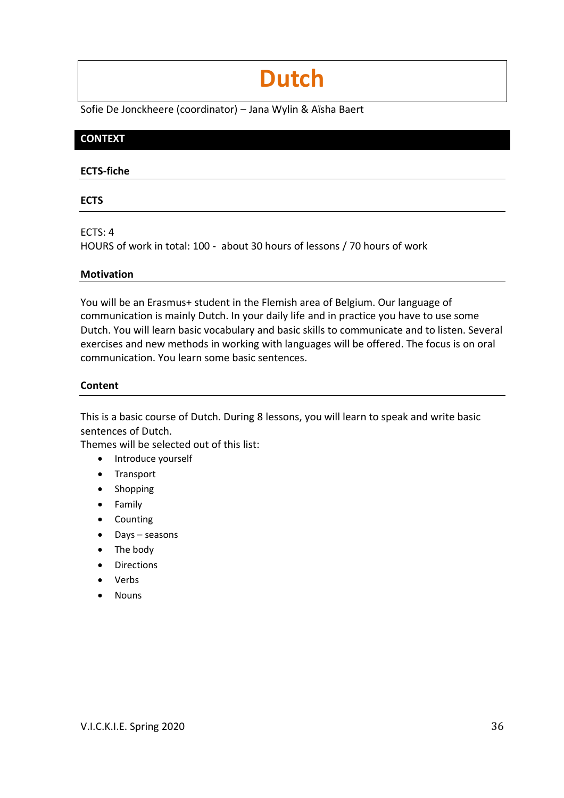# **Dutch**

Sofie De Jonckheere (coordinator) – Jana Wylin & Aïsha Baert

# **CONTEXT**

#### **ECTS-fiche**

#### **ECTS**

ECTS: 4

HOURS of work in total: 100 - about 30 hours of lessons / 70 hours of work

### **Motivation**

You will be an Erasmus+ student in the Flemish area of Belgium. Our language of communication is mainly Dutch. In your daily life and in practice you have to use some Dutch. You will learn basic vocabulary and basic skills to communicate and to listen. Several exercises and new methods in working with languages will be offered. The focus is on oral communication. You learn some basic sentences.

#### **Content**

This is a basic course of Dutch. During 8 lessons, you will learn to speak and write basic sentences of Dutch.

Themes will be selected out of this list:

- Introduce yourself
- Transport
- Shopping
- Family
- Counting
- Days seasons
- The body
- Directions
- Verbs
- Nouns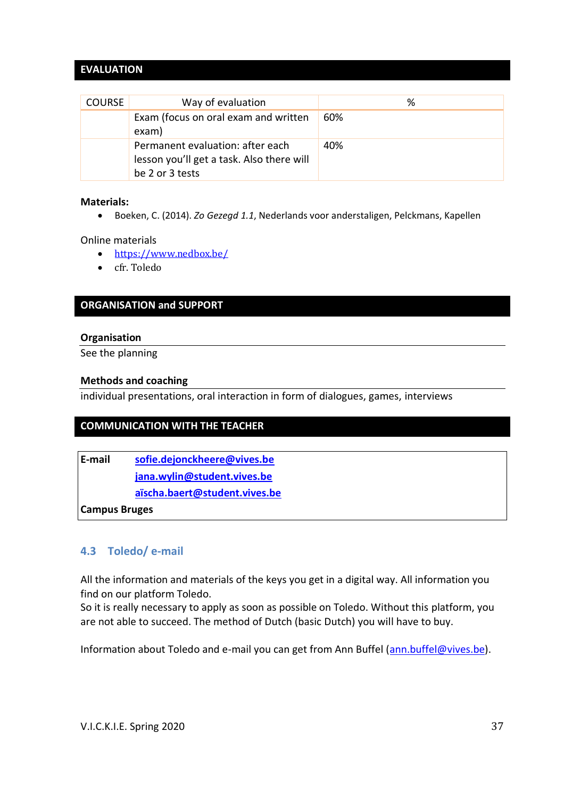# **EVALUATION**

| <b>COURSE</b> | Way of evaluation                                                                                | ℅   |
|---------------|--------------------------------------------------------------------------------------------------|-----|
|               | Exam (focus on oral exam and written<br>exam)                                                    | 60% |
|               | Permanent evaluation: after each<br>lesson you'll get a task. Also there will<br>be 2 or 3 tests | 40% |

#### **Materials:**

• Boeken, C. (2014). *Zo Gezegd 1.1*, Nederlands voor anderstaligen, Pelckmans, Kapellen

Online materials

- <https://www.nedbox.be/>
- cfr. Toledo

#### **ORGANISATION and SUPPORT**

#### **Organisation**

See the planning

#### **Methods and coaching**

individual presentations, oral interaction in form of dialogues, games, interviews

# **COMMUNICATION WITH THE TEACHER**

**E-mail [sofie.dejonckheere@vives.be](mailto:sofie.dejonckheere@vives.be) [jana.wylin@student.vives.be](mailto:jana.wylin@student.vives.be) [aïscha.baert@student.vives.be](mailto:jolien.desmet3@student.vives.be)**

**Campus Bruges**

#### <span id="page-36-0"></span>**4.3 Toledo/ e-mail**

All the information and materials of the keys you get in a digital way. All information you find on our platform Toledo.

So it is really necessary to apply as soon as possible on Toledo. Without this platform, you are not able to succeed. The method of Dutch (basic Dutch) you will have to buy.

Information about Toledo and e-mail you can get from Ann Buffel [\(ann.buffel@vives.be\)](mailto:ann.buffel@vives.be).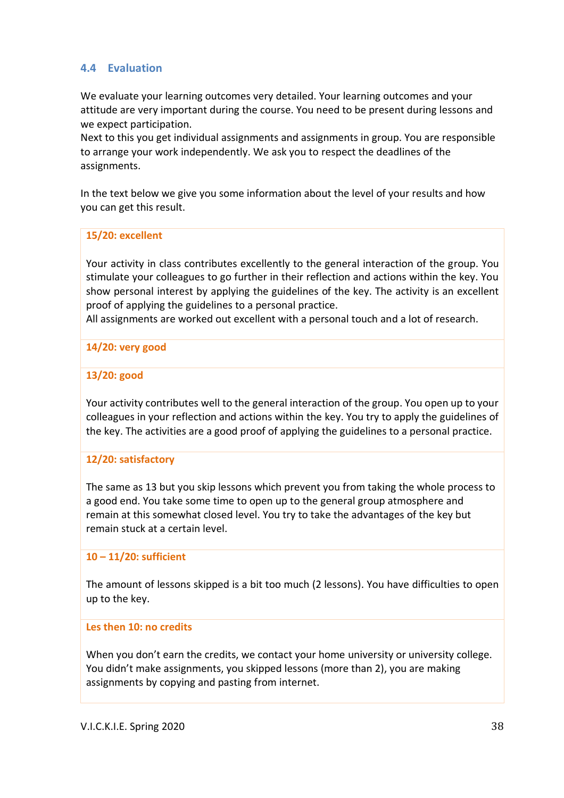# <span id="page-37-0"></span>**4.4 Evaluation**

We evaluate your learning outcomes very detailed. Your learning outcomes and your attitude are very important during the course. You need to be present during lessons and we expect participation.

Next to this you get individual assignments and assignments in group. You are responsible to arrange your work independently. We ask you to respect the deadlines of the assignments.

In the text below we give you some information about the level of your results and how you can get this result.

#### **15/20: excellent**

Your activity in class contributes excellently to the general interaction of the group. You stimulate your colleagues to go further in their reflection and actions within the key. You show personal interest by applying the guidelines of the key. The activity is an excellent proof of applying the guidelines to a personal practice.

All assignments are worked out excellent with a personal touch and a lot of research.

### **14/20: very good**

#### **13/20: good**

Your activity contributes well to the general interaction of the group. You open up to your colleagues in your reflection and actions within the key. You try to apply the guidelines of the key. The activities are a good proof of applying the guidelines to a personal practice.

#### **12/20: satisfactory**

The same as 13 but you skip lessons which prevent you from taking the whole process to a good end. You take some time to open up to the general group atmosphere and remain at this somewhat closed level. You try to take the advantages of the key but remain stuck at a certain level.

#### **10 – 11/20: sufficient**

The amount of lessons skipped is a bit too much (2 lessons). You have difficulties to open up to the key.

#### **Les then 10: no credits**

When you don't earn the credits, we contact your home university or university college. You didn't make assignments, you skipped lessons (more than 2), you are making assignments by copying and pasting from internet.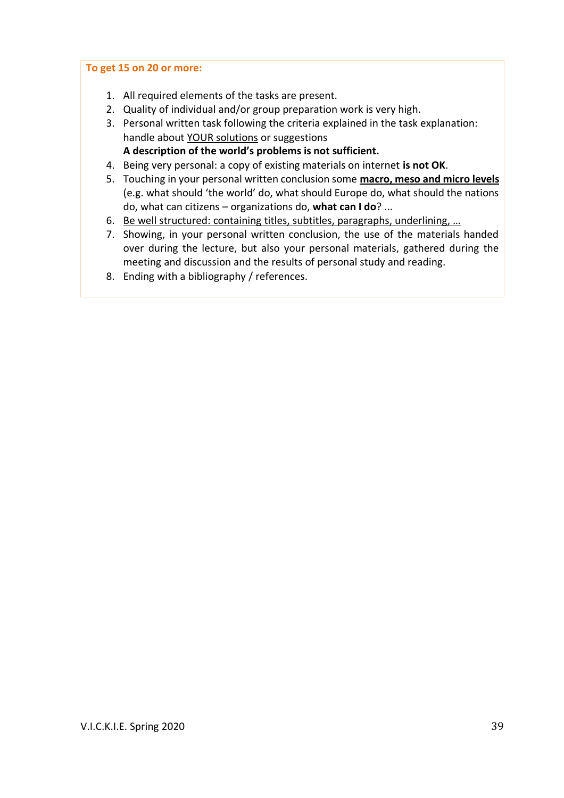#### **To get 15 on 20 or more:**

- 1. All required elements of the tasks are present.
- 2. Quality of individual and/or group preparation work is very high.
- 3. Personal written task following the criteria explained in the task explanation: handle about YOUR solutions or suggestions
	- **A description of the world's problems is not sufficient.**
- 4. Being very personal: a copy of existing materials on internet **is not OK**.
- 5. Touching in your personal written conclusion some **macro, meso and micro levels** (e.g. what should 'the world' do, what should Europe do, what should the nations do, what can citizens – organizations do, **what can I do**? ...
- 6. Be well structured: containing titles, subtitles, paragraphs, underlining, …
- 7. Showing, in your personal written conclusion, the use of the materials handed over during the lecture, but also your personal materials, gathered during the meeting and discussion and the results of personal study and reading.
- 8. Ending with a bibliography / references.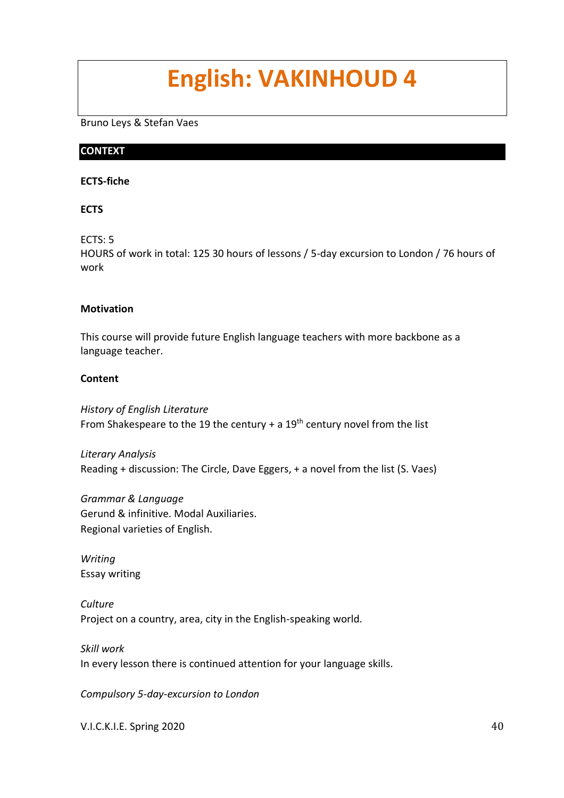# **English: VAKINHOUD 4**

Bruno Leys & Stefan Vaes

### **CONTEXT**

#### **ECTS-fiche**

### **ECTS**

ECTS: 5

HOURS of work in total: 125 30 hours of lessons / 5-day excursion to London / 76 hours of work

### **Motivation**

This course will provide future English language teachers with more backbone as a language teacher.

### **Content**

*History of English Literature* From Shakespeare to the 19 the century + a  $19<sup>th</sup>$  century novel from the list

*Literary Analysis* Reading + discussion: The Circle, Dave Eggers, + a novel from the list (S. Vaes)

*Grammar & Language* Gerund & infinitive. Modal Auxiliaries. Regional varieties of English.

*Writing* Essay writing

*Culture* Project on a country, area, city in the English-speaking world.

*Skill work* In every lesson there is continued attention for your language skills.

*Compulsory 5-day-excursion to London*

V.I.C.K.I.E. Spring 2020 40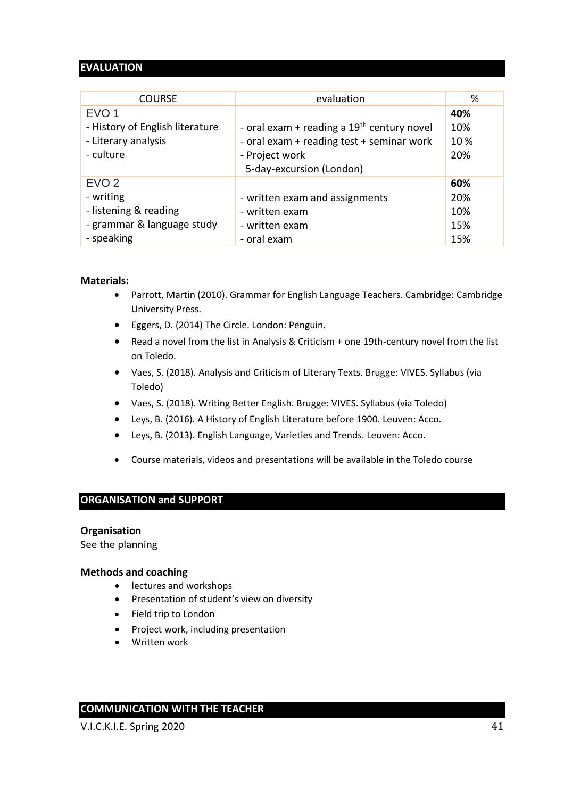# **EVALUATION**

| <b>COURSE</b>                                                                                      | evaluation                                                                                                                              | %                               |
|----------------------------------------------------------------------------------------------------|-----------------------------------------------------------------------------------------------------------------------------------------|---------------------------------|
| EVO <sub>1</sub><br>- History of English literature<br>- Literary analysis<br>- culture            | - oral exam + reading a $19th$ century novel<br>- oral exam + reading test + seminar work<br>- Project work<br>5-day-excursion (London) | 40%<br>10%<br>10%<br>20%        |
| EVO <sub>2</sub><br>- writing<br>- listening & reading<br>- grammar & language study<br>- speaking | - written exam and assignments<br>- written exam<br>- written exam<br>- oral exam                                                       | 60%<br>20%<br>10%<br>15%<br>15% |

#### **Materials:**

- Parrott, Martin (2010). Grammar for English Language Teachers. Cambridge: Cambridge University Press.
- Eggers, D. (2014) The Circle. London: Penguin.
- Read a novel from the list in Analysis & Criticism + one 19th-century novel from the list on Toledo.
- Vaes, S. (2018). Analysis and Criticism of Literary Texts. Brugge: VIVES. Syllabus (via Toledo)
- Vaes, S. (2018). Writing Better English. Brugge: VIVES. Syllabus (via Toledo)
- Leys, B. (2016). A History of English Literature before 1900. Leuven: Acco.
- Leys, B. (2013). English Language, Varieties and Trends. Leuven: Acco.
- Course materials, videos and presentations will be available in the Toledo course

#### **ORGANISATION and SUPPORT**

#### **Organisation**

See the planning

#### **Methods and coaching**

- lectures and workshops
- Presentation of student's view on diversity
- Field trip to London
- Project work, including presentation
- Written work

# **COMMUNICATION WITH THE TEACHER**

V.I.C.K.I.E. Spring 2020 41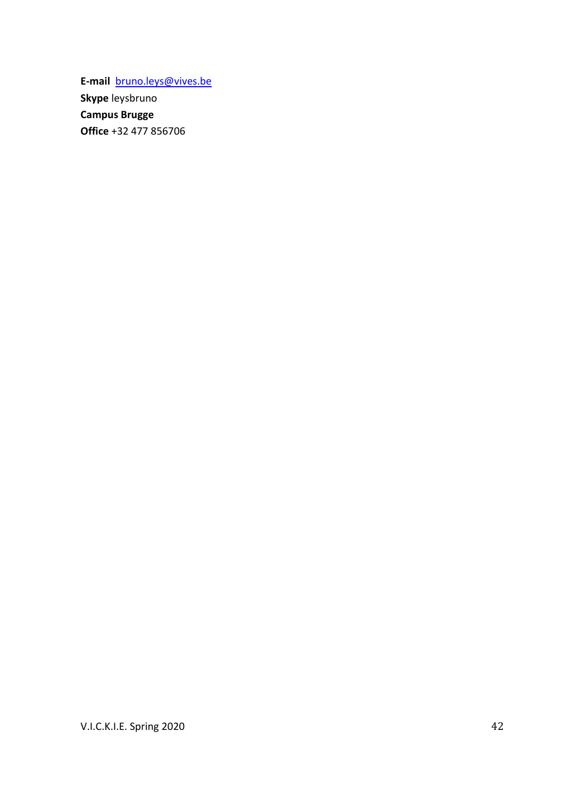**E-mail** [bruno.leys@vives.be](mailto:bruno.leys@vives.be) **Skype** leysbruno **Campus Brugge Office** +32 477 856706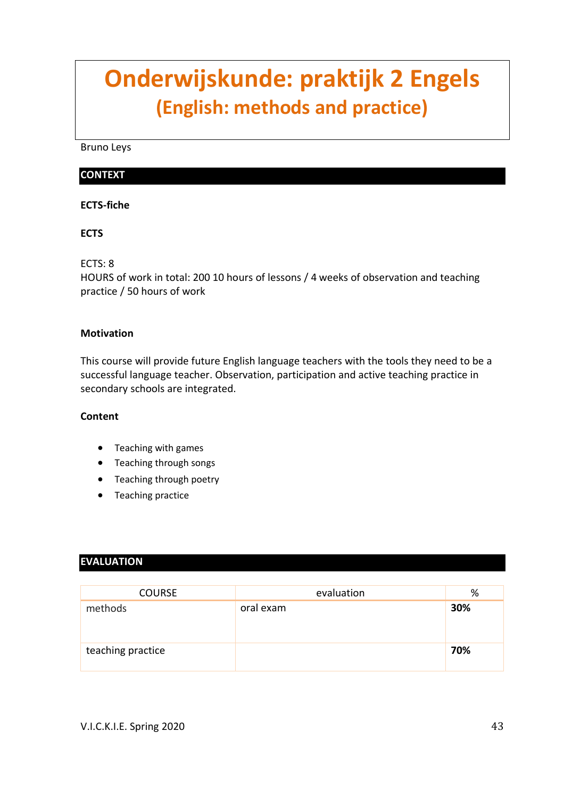# **Onderwijskunde: praktijk 2 Engels (English: methods and practice)**

Bruno Leys

# **CONTEXT**

#### **ECTS-fiche**

### **ECTS**

ECTS: 8

HOURS of work in total: 200 10 hours of lessons / 4 weeks of observation and teaching practice / 50 hours of work

#### **Motivation**

This course will provide future English language teachers with the tools they need to be a successful language teacher. Observation, participation and active teaching practice in secondary schools are integrated.

#### **Content**

- Teaching with games
- Teaching through songs
- Teaching through poetry
- Teaching practice

# **EVALUATION**

| <b>COURSE</b>     | evaluation | %   |
|-------------------|------------|-----|
| methods           | oral exam  | 30% |
| teaching practice |            | 70% |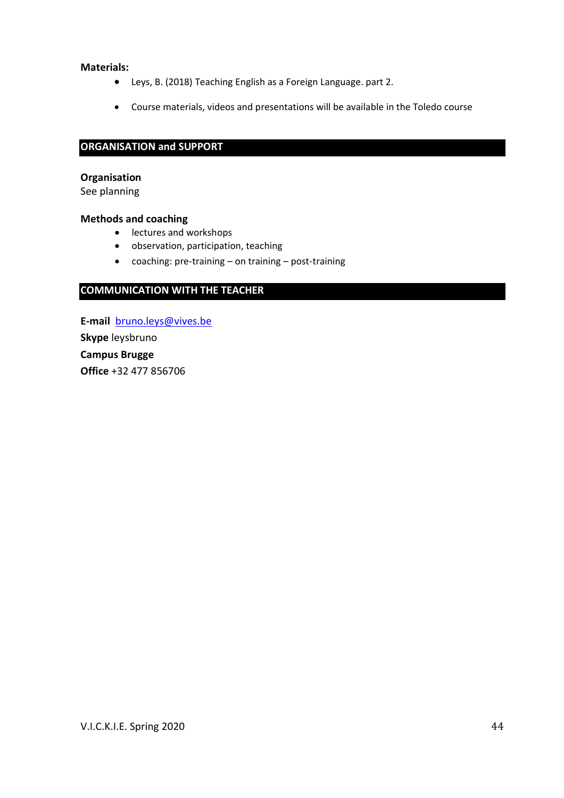#### **Materials:**

- Leys, B. (2018) Teaching English as a Foreign Language. part 2.
- Course materials, videos and presentations will be available in the Toledo course

#### **ORGANISATION and SUPPORT**

#### **Organisation**

See planning

#### **Methods and coaching**

- lectures and workshops
- observation, participation, teaching
- coaching: pre-training on training post-training

#### **COMMUNICATION WITH THE TEACHER**

**E-mail** [bruno.leys@vives.be](mailto:bruno.leys@vives.be) **Skype** leysbruno **Campus Brugge Office** +32 477 856706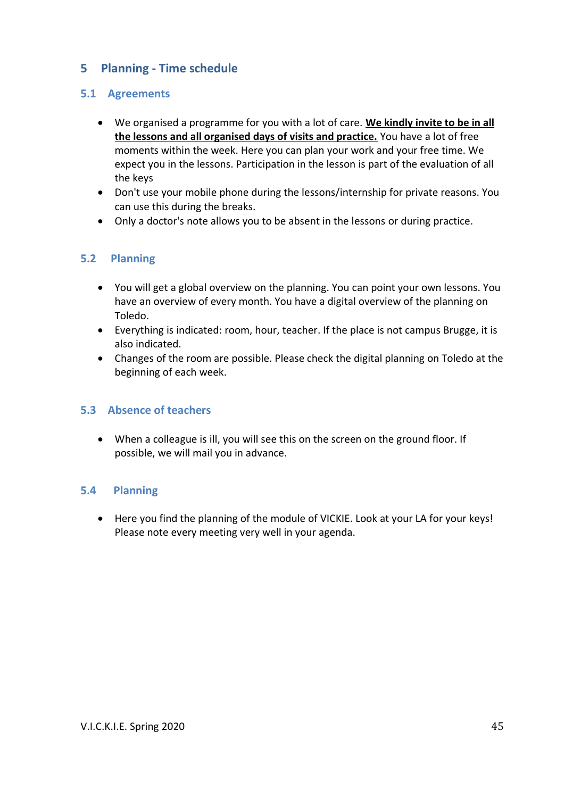# <span id="page-44-0"></span>**5 Planning - Time schedule**

# <span id="page-44-1"></span>**5.1 Agreements**

- We organised a programme for you with a lot of care. **We kindly invite to be in all the lessons and all organised days of visits and practice.** You have a lot of free moments within the week. Here you can plan your work and your free time. We expect you in the lessons. Participation in the lesson is part of the evaluation of all the keys
- Don't use your mobile phone during the lessons/internship for private reasons. You can use this during the breaks.
- <span id="page-44-2"></span>• Only a doctor's note allows you to be absent in the lessons or during practice.

# **5.2 Planning**

- You will get a global overview on the planning. You can point your own lessons. You have an overview of every month. You have a digital overview of the planning on Toledo.
- Everything is indicated: room, hour, teacher. If the place is not campus Brugge, it is also indicated.
- Changes of the room are possible. Please check the digital planning on Toledo at the beginning of each week.

# <span id="page-44-3"></span>**5.3 Absence of teachers**

• When a colleague is ill, you will see this on the screen on the ground floor. If possible, we will mail you in advance.

#### **5.4 Planning**

<span id="page-44-4"></span>• Here you find the planning of the module of VICKIE. Look at your LA for your keys! Please note every meeting very well in your agenda.